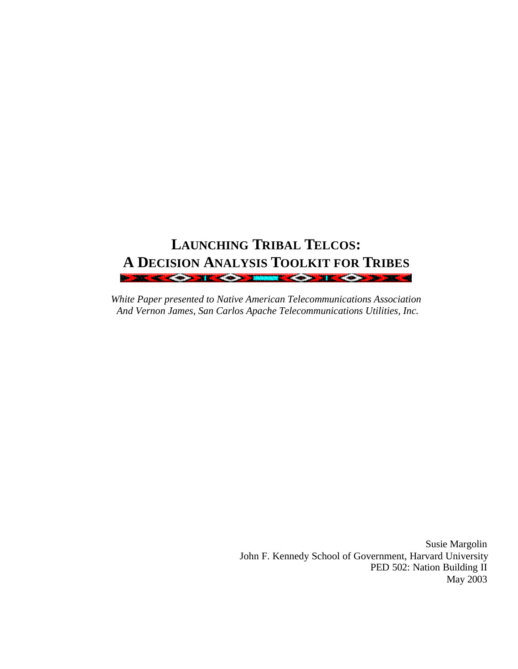# **LAUNCHING TRIBAL TELCOS: A DECISION ANALYSIS TOOLKIT FOR TRIBES**

*White Paper presented to Native American Telecommunications Association And Vernon James, San Carlos Apache Telecommunications Utilities, Inc.* 

> Susie Margolin John F. Kennedy School of Government, Harvard University PED 502: Nation Building II May 2003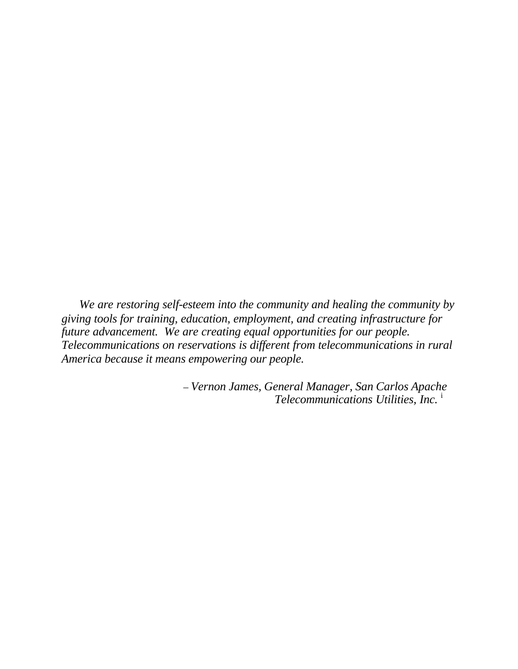*We are restoring self-esteem into the community and healing the community by giving tools for training, education, employment, and creating infrastructure for future advancement. We are creating equal opportunities for our people. Telecommunications on reservations is different from telecommunications in rural America because it means empowering our people.* 

> – *Vernon James, General Manager, San Carlos Apache Telecommunications Utilities, Inc.* <sup>i</sup>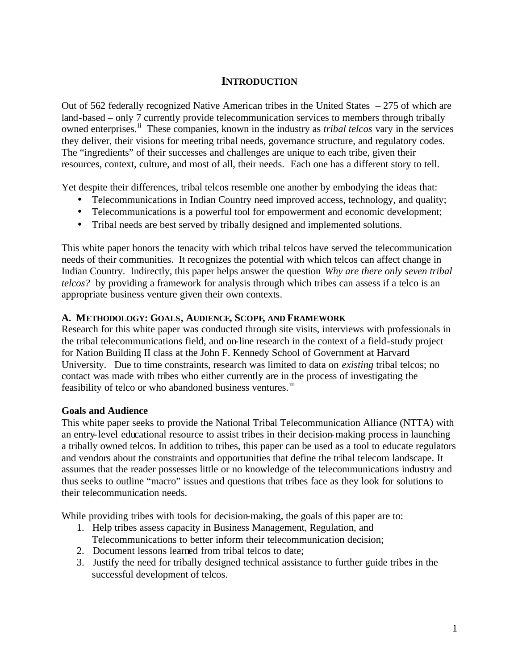# **INTRODUCTION**

Out of 562 federally recognized Native American tribes in the United States – 275 of which are land-based – only 7 currently provide telecommunication services to members through tribally owned enterprises.ii These companies, known in the industry as *tribal telcos* vary in the services they deliver, their visions for meeting tribal needs, governance structure, and regulatory codes. The "ingredients" of their successes and challenges are unique to each tribe, given their resources, context, culture, and most of all, their needs. Each one has a different story to tell.

Yet despite their differences, tribal telcos resemble one another by embodying the ideas that:

- Telecommunications in Indian Country need improved access, technology, and quality;
- Telecommunications is a powerful tool for empowerment and economic development;
- Tribal needs are best served by tribally designed and implemented solutions.

This white paper honors the tenacity with which tribal telcos have served the telecommunication needs of their communities. It recognizes the potential with which telcos can affect change in Indian Country. Indirectly, this paper helps answer the question *Why are there only seven tribal telcos?* by providing a framework for analysis through which tribes can assess if a telco is an appropriate business venture given their own contexts.

#### **A. METHODOLOGY: GOALS, AUDIENCE, SCOPE, AND FRAMEWORK**

Research for this white paper was conducted through site visits, interviews with professionals in the tribal telecommunications field, and on-line research in the context of a field-study project for Nation Building II class at the John F. Kennedy School of Government at Harvard University. Due to time constraints, research was limited to data on *existing* tribal telcos; no contact was made with tribes who either currently are in the process of investigating the feasibility of telco or who abandoned business ventures.<sup>iii</sup>

#### **Goals and Audience**

This white paper seeks to provide the National Tribal Telecommunication Alliance (NTTA) with an entry-level educational resource to assist tribes in their decision-making process in launching a tribally owned telcos. In addition to tribes, this paper can be used as a tool to educate regulators and vendors about the constraints and opportunities that define the tribal telecom landscape. It assumes that the reader possesses little or no knowledge of the telecommunications industry and thus seeks to outline "macro" issues and questions that tribes face as they look for solutions to their telecommunication needs.

While providing tribes with tools for decision-making, the goals of this paper are to:

- 1. Help tribes assess capacity in Business Management, Regulation, and Telecommunications to better inform their telecommunication decision;
- 2. Document lessons learned from tribal telcos to date;
- 3. Justify the need for tribally designed technical assistance to further guide tribes in the successful development of telcos.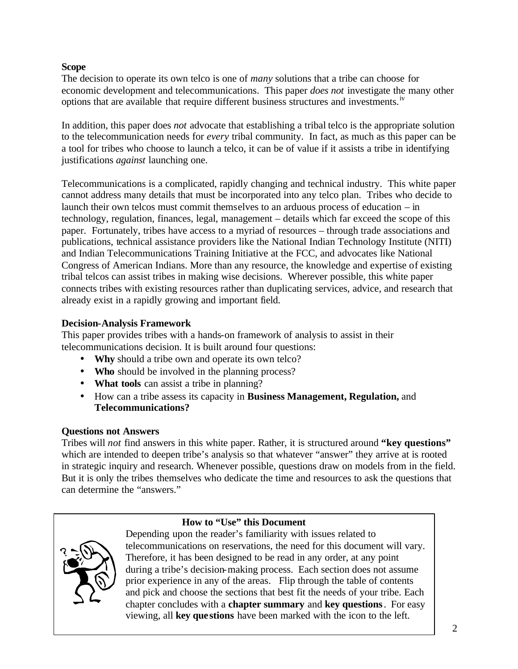### **Scope**

The decision to operate its own telco is one of *many* solutions that a tribe can choose for economic development and telecommunications. This paper *does not* investigate the many other options that are available that require different business structures and investments.iv

In addition, this paper does *not* advocate that establishing a tribal telco is the appropriate solution to the telecommunication needs for *every* tribal community. In fact, as much as this paper can be a tool for tribes who choose to launch a telco, it can be of value if it assists a tribe in identifying justifications *against* launching one.

Telecommunications is a complicated, rapidly changing and technical industry. This white paper cannot address many details that must be incorporated into any telco plan. Tribes who decide to launch their own telcos must commit themselves to an arduous process of education – in technology, regulation, finances, legal, management – details which far exceed the scope of this paper. Fortunately, tribes have access to a myriad of resources – through trade associations and publications, technical assistance providers like the National Indian Technology Institute (NITI) and Indian Telecommunications Training Initiative at the FCC, and advocates like National Congress of American Indians. More than any resource, the knowledge and expertise of existing tribal telcos can assist tribes in making wise decisions. Wherever possible, this white paper connects tribes with existing resources rather than duplicating services, advice, and research that already exist in a rapidly growing and important field.

#### **Decision-Analysis Framework**

This paper provides tribes with a hands-on framework of analysis to assist in their telecommunications decision. It is built around four questions:

- **Why** should a tribe own and operate its own telco?
- **Who** should be involved in the planning process?
- **What tools** can assist a tribe in planning?
- How can a tribe assess its capacity in **Business Management, Regulation,** and **Telecommunications?**

#### **Questions not Answers**

Tribes will *not* find answers in this white paper. Rather, it is structured around **"key questions"** which are intended to deepen tribe's analysis so that whatever "answer" they arrive at is rooted in strategic inquiry and research. Whenever possible, questions draw on models from in the field. But it is only the tribes themselves who dedicate the time and resources to ask the questions that can determine the "answers."

# **How to "Use" this Document**



Depending upon the reader's familiarity with issues related to telecommunications on reservations, the need for this document will vary. Therefore, it has been designed to be read in any order, at any point during a tribe's decision-making process. Each section does not assume prior experience in any of the areas. Flip through the table of contents and pick and choose the sections that best fit the needs of your tribe. Each chapter concludes with a **chapter summary** and **key questions**. For easy viewing, all **key questions** have been marked with the icon to the left.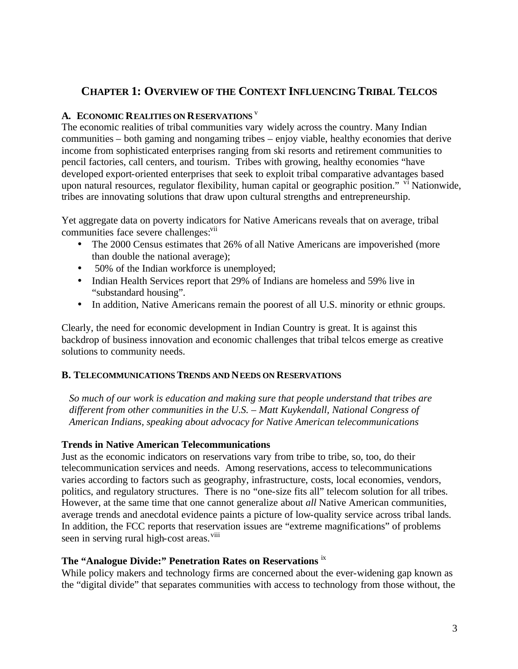# **CHAPTER 1: OVERVIEW OF THE CONTEXT INFLUENCING TRIBAL TELCOS**

### **A. ECONOMIC REALITIES ON RESERVATIONS** <sup>v</sup>

The economic realities of tribal communities vary widely across the country. Many Indian communities – both gaming and nongaming tribes – enjoy viable, healthy economies that derive income from sophisticated enterprises ranging from ski resorts and retirement communities to pencil factories, call centers, and tourism. Tribes with growing, healthy economies "have developed export-oriented enterprises that seek to exploit tribal comparative advantages based upon natural resources, regulator flexibility, human capital or geographic position." <sup>vi</sup> Nationwide, tribes are innovating solutions that draw upon cultural strengths and entrepreneurship.

Yet aggregate data on poverty indicators for Native Americans reveals that on average, tribal communities face severe challenges:<sup>vii</sup>

- The 2000 Census estimates that 26% of all Native Americans are impoverished (more than double the national average);
- 50% of the Indian workforce is unemployed;
- Indian Health Services report that 29% of Indians are homeless and 59% live in "substandard housing".
- In addition, Native Americans remain the poorest of all U.S. minority or ethnic groups.

Clearly, the need for economic development in Indian Country is great. It is against this backdrop of business innovation and economic challenges that tribal telcos emerge as creative solutions to community needs.

#### **B. TELECOMMUNICATIONS TRENDS AND NEEDS ON RESERVATIONS**

*So much of our work is education and making sure that people understand that tribes are different from other communities in the U.S. – Matt Kuykendall, National Congress of American Indians, speaking about advocacy for Native American telecommunications* 

#### **Trends in Native American Telecommunications**

Just as the economic indicators on reservations vary from tribe to tribe, so, too, do their telecommunication services and needs. Among reservations, access to telecommunications varies according to factors such as geography, infrastructure, costs, local economies, vendors, politics, and regulatory structures. There is no "one-size fits all" telecom solution for all tribes. However, at the same time that one cannot generalize about *all* Native American communities, average trends and anecdotal evidence paints a picture of low-quality service across tribal lands. In addition, the FCC reports that reservation issues are "extreme magnifications" of problems seen in serving rural high-cost areas.<sup>viii</sup>

#### **The "Analogue Divide:" Penetration Rates on Reservations** ix

While policy makers and technology firms are concerned about the ever-widening gap known as the "digital divide" that separates communities with access to technology from those without, the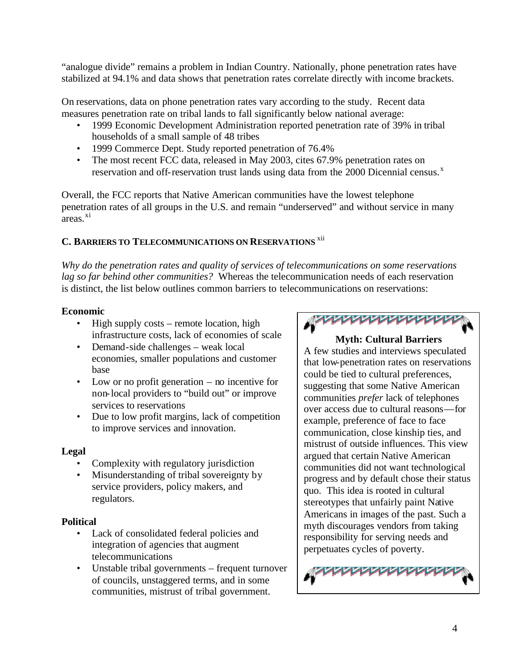"analogue divide" remains a problem in Indian Country. Nationally, phone penetration rates have stabilized at 94.1% and data shows that penetration rates correlate directly with income brackets.

On reservations, data on phone penetration rates vary according to the study. Recent data measures penetration rate on tribal lands to fall significantly below national average:

- 1999 Economic Development Administration reported penetration rate of 39% in tribal households of a small sample of 48 tribes
- 1999 Commerce Dept. Study reported penetration of 76.4%
- The most recent FCC data, released in May 2003, cites 67.9% penetration rates on reservation and off-reservation trust lands using data from the 2000 Dicennial census.<sup>x</sup>

Overall, the FCC reports that Native American communities have the lowest telephone penetration rates of all groups in the U.S. and remain "underserved" and without service in many  $\overline{a}$ reas.<sup>xi</sup>

# **C. BARRIERS TO TELECOMMUNICATIONS ON RESERVATIONS** xii

*Why do the penetration rates and quality of services of telecommunications on some reservations lag so far behind other communities?* Whereas the telecommunication needs of each reservation is distinct, the list below outlines common barriers to telecommunications on reservations:

#### **Economic**

- High supply costs remote location, high infrastructure costs, lack of economies of scale
- Demand-side challenges weak local economies, smaller populations and customer base
- Low or no profit generation no incentive for non-local providers to "build out" or improve services to reservations
- Due to low profit margins, lack of competition to improve services and innovation.

## **Legal**

- Complexity with regulatory jurisdiction
- Misunderstanding of tribal sovereignty by service providers, policy makers, and regulators.

#### **Political**

- Lack of consolidated federal policies and integration of agencies that augment telecommunications
- Unstable tribal governments frequent turnover of councils, unstaggered terms, and in some communities, mistrust of tribal government.



## **Myth: Cultural Barriers**

A few studies and interviews speculated that low-penetration rates on reservations could be tied to cultural preferences, suggesting that some Native American communities *prefer* lack of telephones over access due to cultural reasons—for example, preference of face to face communication, close kinship ties, and mistrust of outside influences. This view argued that certain Native American communities did not want technological progress and by default chose their status quo. This idea is rooted in cultural stereotypes that unfairly paint Native Americans in images of the past. Such a myth discourages vendors from taking responsibility for serving needs and perpetuates cycles of poverty.

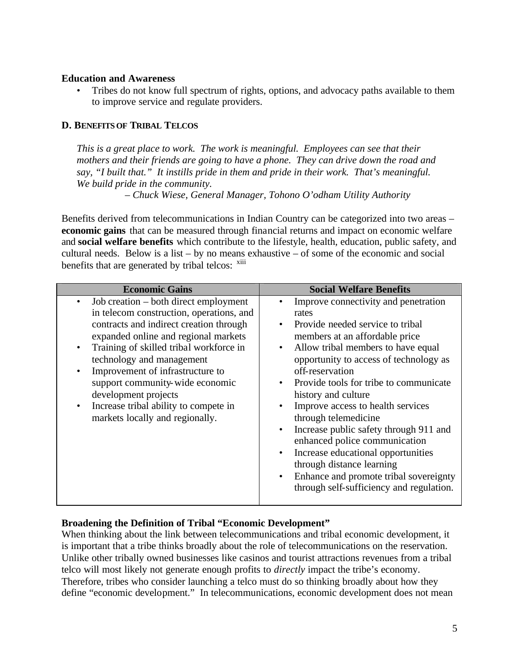#### **Education and Awareness**

• Tribes do not know full spectrum of rights, options, and advocacy paths available to them to improve service and regulate providers.

## **D. BENEFITS OF TRIBAL TELCOS**

*This is a great place to work. The work is meaningful. Employees can see that their mothers and their friends are going to have a phone. They can drive down the road and say, "I built that." It instills pride in them and pride in their work. That's meaningful. We build pride in the community.* 

– *Chuck Wiese, General Manager, Tohono O'odham Utility Authority*

Benefits derived from telecommunications in Indian Country can be categorized into two areas – **economic gains** that can be measured through financial returns and impact on economic welfare and **social welfare benefits** which contribute to the lifestyle, health, education, public safety, and cultural needs. Below is a list – by no means exhaustive – of some of the economic and social benefits that are generated by tribal telcos: xiii

| <b>Economic Gains</b>                                                                                                                                                                                                                                                                                                                                                                                                                             | <b>Social Welfare Benefits</b>                                                                                                                                                                                                                                                                                                                                                                                                                                                                                                                                                                                                                                                      |
|---------------------------------------------------------------------------------------------------------------------------------------------------------------------------------------------------------------------------------------------------------------------------------------------------------------------------------------------------------------------------------------------------------------------------------------------------|-------------------------------------------------------------------------------------------------------------------------------------------------------------------------------------------------------------------------------------------------------------------------------------------------------------------------------------------------------------------------------------------------------------------------------------------------------------------------------------------------------------------------------------------------------------------------------------------------------------------------------------------------------------------------------------|
| Job creation – both direct employment<br>in telecom construction, operations, and<br>contracts and indirect creation through<br>expanded online and regional markets<br>Training of skilled tribal workforce in<br>$\bullet$<br>technology and management<br>Improvement of infrastructure to<br>support community-wide economic<br>development projects<br>Increase tribal ability to compete in<br>$\bullet$<br>markets locally and regionally. | Improve connectivity and penetration<br>rates<br>Provide needed service to tribal<br>$\bullet$<br>members at an affordable price<br>Allow tribal members to have equal<br>$\bullet$<br>opportunity to access of technology as<br>off-reservation<br>Provide tools for tribe to communicate<br>$\bullet$<br>history and culture<br>Improve access to health services<br>$\bullet$<br>through telemedicine<br>Increase public safety through 911 and<br>$\bullet$<br>enhanced police communication<br>Increase educational opportunities<br>$\bullet$<br>through distance learning<br>Enhance and promote tribal sovereignty<br>$\bullet$<br>through self-sufficiency and regulation. |

## **Broadening the Definition of Tribal "Economic Development"**

When thinking about the link between telecommunications and tribal economic development, it is important that a tribe thinks broadly about the role of telecommunications on the reservation. Unlike other tribally owned businesses like casinos and tourist attractions revenues from a tribal telco will most likely not generate enough profits to *directly* impact the tribe's economy. Therefore, tribes who consider launching a telco must do so thinking broadly about how they define "economic development." In telecommunications, economic development does not mean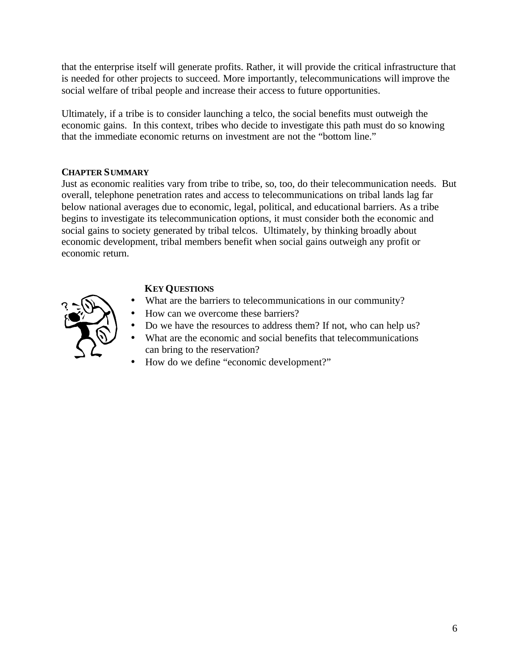that the enterprise itself will generate profits. Rather, it will provide the critical infrastructure that is needed for other projects to succeed. More importantly, telecommunications will improve the social welfare of tribal people and increase their access to future opportunities.

Ultimately, if a tribe is to consider launching a telco, the social benefits must outweigh the economic gains. In this context, tribes who decide to investigate this path must do so knowing that the immediate economic returns on investment are not the "bottom line."

## **CHAPTER SUMMARY**

Just as economic realities vary from tribe to tribe, so, too, do their telecommunication needs. But overall, telephone penetration rates and access to telecommunications on tribal lands lag far below national averages due to economic, legal, political, and educational barriers. As a tribe begins to investigate its telecommunication options, it must consider both the economic and social gains to society generated by tribal telcos. Ultimately, by thinking broadly about economic development, tribal members benefit when social gains outweigh any profit or economic return.

# **KEY QUESTIONS**

- What are the barriers to telecommunications in our community?
- How can we overcome these barriers?
- Do we have the resources to address them? If not, who can help us?
- What are the economic and social benefits that telecommunications can bring to the reservation?
- How do we define "economic development?"

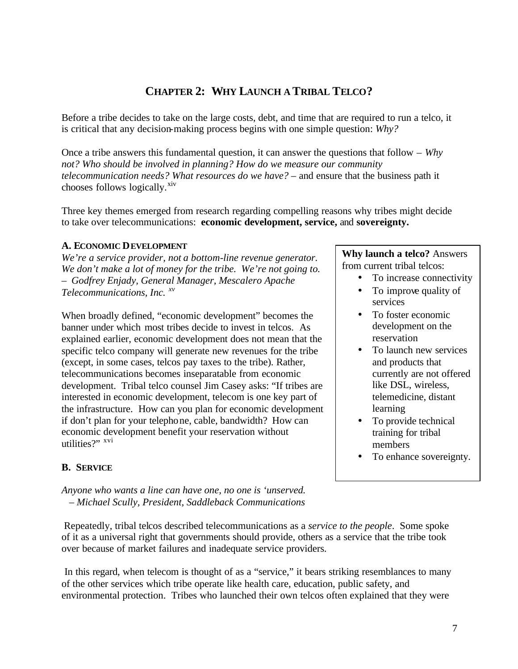# **CHAPTER 2: WHY LAUNCH A TRIBAL TELCO?**

Before a tribe decides to take on the large costs, debt, and time that are required to run a telco, it is critical that any decision-making process begins with one simple question: *Why?*

Once a tribe answers this fundamental question, it can answer the questions that follow – *Why not? Who should be involved in planning? How do we measure our community telecommunication needs? What resources do we have?* – and ensure that the business path it chooses follows logically.<sup>xiv</sup>

Three key themes emerged from research regarding compelling reasons why tribes might decide to take over telecommunications: **economic development, service,** and **sovereignty.** 

#### **A. ECONOMIC DEVELOPMENT**

*We're a service provider, not a bottom-line revenue generator. We don't make a lot of money for the tribe. We're not going to. – Godfrey Enjady, General Manager, Mescalero Apache Telecommunications, Inc. xv*

When broadly defined, "economic development" becomes the banner under which most tribes decide to invest in telcos. As explained earlier, economic development does not mean that the specific telco company will generate new revenues for the tribe (except, in some cases, telcos pay taxes to the tribe). Rather, telecommunications becomes inseparatable from economic development. Tribal telco counsel Jim Casey asks: "If tribes are interested in economic development, telecom is one key part of the infrastructure. How can you plan for economic development if don't plan for your telephone, cable, bandwidth? How can economic development benefit your reservation without utilities?" <sup>xvi</sup>

#### **Why launch a telco?** Answers from current tribal telcos:

- To increase connectivity
- To improve quality of services
- To foster economic development on the reservation
- To launch new services and products that currently are not offered like DSL, wireless, telemedicine, distant learning
- To provide technical training for tribal members
- To enhance sovereignty.

## **B. SERVICE**

*Anyone who wants a line can have one, no one is 'unserved. – Michael Scully, President, Saddleback Communications*

 Repeatedly, tribal telcos described telecommunications as a *service to the people*. Some spoke of it as a universal right that governments should provide, others as a service that the tribe took over because of market failures and inadequate service providers.

 In this regard, when telecom is thought of as a "service," it bears striking resemblances to many of the other services which tribe operate like health care, education, public safety, and environmental protection. Tribes who launched their own telcos often explained that they were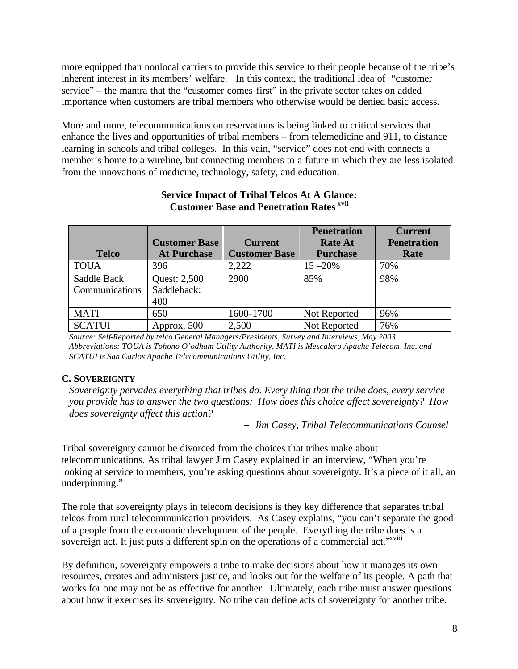more equipped than nonlocal carriers to provide this service to their people because of the tribe's inherent interest in its members' welfare. In this context, the traditional idea of "customer service" – the mantra that the "customer comes first" in the private sector takes on added importance when customers are tribal members who otherwise would be denied basic access.

More and more, telecommunications on reservations is being linked to critical services that enhance the lives and opportunities of tribal members – from telemedicine and 911, to distance learning in schools and tribal colleges. In this vain, "service" does not end with connects a member's home to a wireline, but connecting members to a future in which they are less isolated from the innovations of medicine, technology, safety, and education.

|                |                      |                      | <b>Penetration</b> | <b>Current</b>     |
|----------------|----------------------|----------------------|--------------------|--------------------|
|                | <b>Customer Base</b> | <b>Current</b>       | <b>Rate At</b>     | <b>Penetration</b> |
| <b>Telco</b>   | <b>At Purchase</b>   | <b>Customer Base</b> | <b>Purchase</b>    | Rate               |
| <b>TOUA</b>    | 396                  | 2,222                | $15 - 20%$         | 70%                |
| Saddle Back    | Quest: 2,500         | 2900                 | 85%                | 98%                |
| Communications | Saddleback:          |                      |                    |                    |
|                | 400                  |                      |                    |                    |
| <b>MATI</b>    | 650                  | 1600-1700            | Not Reported       | 96%                |
| <b>SCATUI</b>  | Approx. 500          | 2,500                | Not Reported       | 76%                |

## **Service Impact of Tribal Telcos At A Glance: Customer Base and Penetration Rates** xvii

 *Source: Self-Reported by telco General Managers/Presidents, Survey and Interviews, May 2003 Abbreviations: TOUA is Tohono O'odham Utility Authority, MATI is Mescalero Apache Telecom, Inc, and SCATUI is San Carlos Apache Telecommunications Utility, Inc.*

# **C. SOVEREIGNTY**

*Sovereignty pervades everything that tribes do. Every thing that the tribe does, every service you provide has to answer the two questions: How does this choice affect sovereignty? How does sovereignty affect this action?* 

*– Jim Casey, Tribal Telecommunications Counsel*

Tribal sovereignty cannot be divorced from the choices that tribes make about telecommunications. As tribal lawyer Jim Casey explained in an interview, "When you're looking at service to members, you're asking questions about sovereignty. It's a piece of it all, an underpinning."

The role that sovereignty plays in telecom decisions is they key difference that separates tribal telcos from rural telecommunication providers. As Casey explains, "you can't separate the good of a people from the economic development of the people. Everything the tribe does is a sovereign act. It just puts a different spin on the operations of a commercial act."<sup>xviii</sup>

By definition, sovereignty empowers a tribe to make decisions about how it manages its own resources, creates and administers justice, and looks out for the welfare of its people. A path that works for one may not be as effective for another. Ultimately, each tribe must answer questions about how it exercises its sovereignty. No tribe can define acts of sovereignty for another tribe.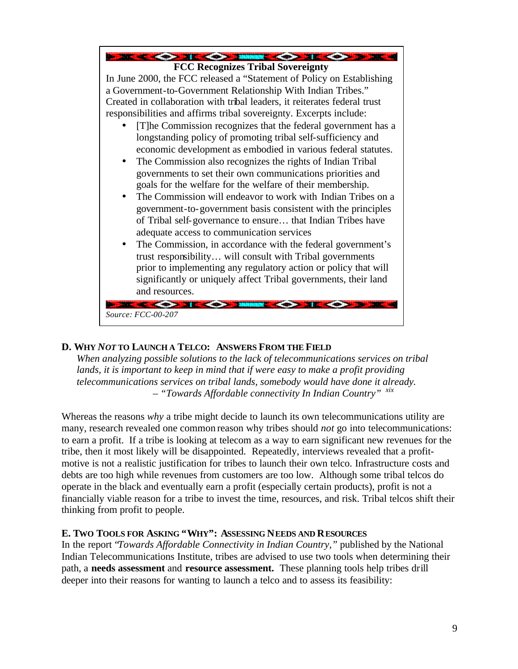

## **D. WHY** *NOT* **TO LAUNCH A TELCO: ANSWERS FROM THE FIELD**

*When analyzing possible solutions to the lack of telecommunications services on tribal lands, it is important to keep in mind that if were easy to make a profit providing telecommunications services on tribal lands, somebody would have done it already. – "Towards Affordable connectivity In Indian Country" xix*

Whereas the reasons *why* a tribe might decide to launch its own telecommunications utility are many, research revealed one common reason why tribes should *not* go into telecommunications: to earn a profit. If a tribe is looking at telecom as a way to earn significant new revenues for the tribe, then it most likely will be disappointed. Repeatedly, interviews revealed that a profitmotive is not a realistic justification for tribes to launch their own telco. Infrastructure costs and debts are too high while revenues from customers are too low. Although some tribal telcos do operate in the black and eventually earn a profit (especially certain products), profit is not a financially viable reason for a tribe to invest the time, resources, and risk. Tribal telcos shift their thinking from profit to people.

## **E. TWO TOOLS FOR ASKING "WHY": ASSESSING NEEDS AND RESOURCES**

In the report "*Towards Affordable Connectivity in Indian Country,"* published by the National Indian Telecommunications Institute, tribes are advised to use two tools when determining their path, a **needs assessment** and **resource assessment.** These planning tools help tribes drill deeper into their reasons for wanting to launch a telco and to assess its feasibility: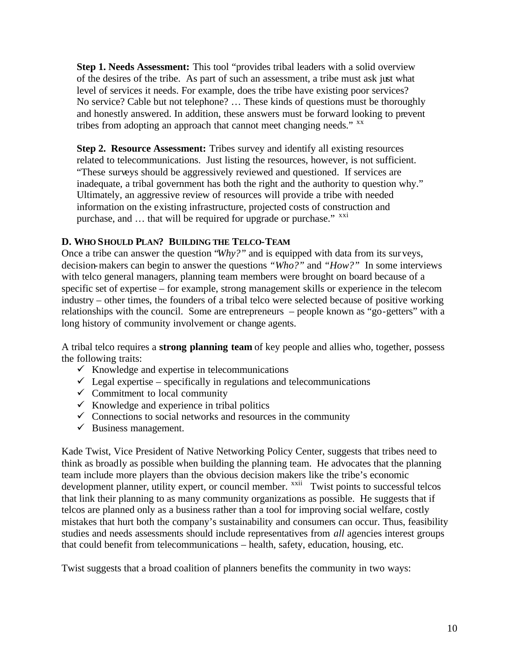**Step 1. Needs Assessment:** This tool "provides tribal leaders with a solid overview of the desires of the tribe. As part of such an assessment, a tribe must ask just what level of services it needs. For example, does the tribe have existing poor services? No service? Cable but not telephone? … These kinds of questions must be thoroughly and honestly answered. In addition, these answers must be forward looking to prevent tribes from adopting an approach that cannot meet changing needs." <sup>xx</sup>

**Step 2. Resource Assessment:** Tribes survey and identify all existing resources related to telecommunications. Just listing the resources, however, is not sufficient. "These surveys should be aggressively reviewed and questioned. If services are inadequate, a tribal government has both the right and the authority to question why." Ultimately, an aggressive review of resources will provide a tribe with needed information on the existing infrastructure, projected costs of construction and purchase, and  $\ldots$  that will be required for upgrade or purchase."  $^{xxi}$ 

#### **D. WHO SHOULD PLAN? BUILDING THE TELCO-TEAM**

Once a tribe can answer the question "*Why?"* and is equipped with data from its surveys, decision-makers can begin to answer the questions *"Who?"* and *"How?"* In some interviews with telco general managers, planning team members were brought on board because of a specific set of expertise – for example, strong management skills or experience in the telecom industry – other times, the founders of a tribal telco were selected because of positive working relationships with the council. Some are entrepreneurs – people known as "go-getters" with a long history of community involvement or change agents.

A tribal telco requires a **strong planning team** of key people and allies who, together, possess the following traits:

- $\checkmark$  Knowledge and expertise in telecommunications
- $\checkmark$  Legal expertise specifically in regulations and telecommunications
- $\checkmark$  Commitment to local community
- $\checkmark$  Knowledge and experience in tribal politics
- $\checkmark$  Connections to social networks and resources in the community
- $\checkmark$  Business management.

Kade Twist, Vice President of Native Networking Policy Center, suggests that tribes need to think as broadly as possible when building the planning team. He advocates that the planning team include more players than the obvious decision makers like the tribe's economic development planner, utility expert, or council member. <sup>xxii</sup> Twist points to successful telcos that link their planning to as many community organizations as possible. He suggests that if telcos are planned only as a business rather than a tool for improving social welfare, costly mistakes that hurt both the company's sustainability and consumers can occur. Thus, feasibility studies and needs assessments should include representatives from *all* agencies interest groups that could benefit from telecommunications – health, safety, education, housing, etc.

Twist suggests that a broad coalition of planners benefits the community in two ways: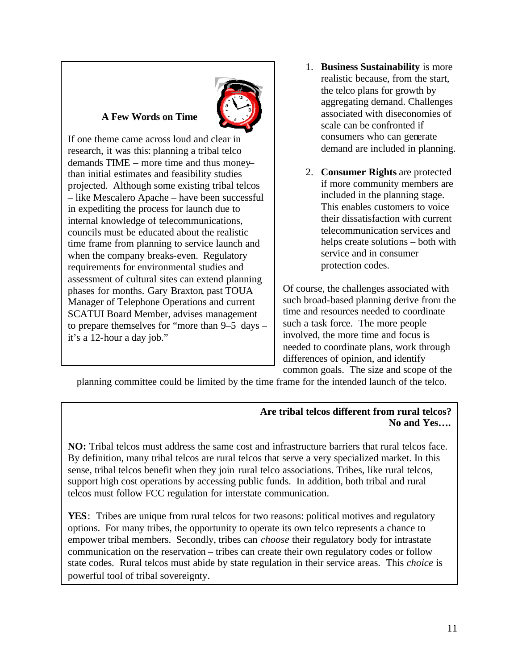# **A Few Words on Time**



If one theme came across loud and clear in research, it was this: planning a tribal telco demands TIME – more time and thus money– than initial estimates and feasibility studies projected. Although some existing tribal telcos – like Mescalero Apache – have been successful in expediting the process for launch due to internal knowledge of telecommunications, councils must be educated about the realistic time frame from planning to service launch and when the company breaks-even. Regulatory requirements for environmental studies and assessment of cultural sites can extend planning phases for months. Gary Braxton, past TOUA Manager of Telephone Operations and current SCATUI Board Member, advises management to prepare themselves for "more than 9–5 days – it's a 12-hour a day job."

- 1. **Business Sustainability** is more realistic because, from the start, the telco plans for growth by aggregating demand. Challenges associated with diseconomies of scale can be confronted if consumers who can generate demand are included in planning.
- 2. **Consumer Rights** are protected if more community members are included in the planning stage. This enables customers to voice their dissatisfaction with current telecommunication services and helps create solutions – both with service and in consumer protection codes.

Of course, the challenges associated with such broad-based planning derive from the time and resources needed to coordinate such a task force. The more people involved, the more time and focus is needed to coordinate plans, work through differences of opinion, and identify common goals. The size and scope of the

planning committee could be limited by the time frame for the intended launch of the telco.

## **Are tribal telcos different from rural telcos? No and Yes….**

**NO:** Tribal telcos must address the same cost and infrastructure barriers that rural telcos face. By definition, many tribal telcos are rural telcos that serve a very specialized market. In this sense, tribal telcos benefit when they join rural telco associations. Tribes, like rural telcos, support high cost operations by accessing public funds. In addition, both tribal and rural telcos must follow FCC regulation for interstate communication.

YES: Tribes are unique from rural telcos for two reasons: political motives and regulatory options. For many tribes, the opportunity to operate its own telco represents a chance to empower tribal members. Secondly, tribes can *choose* their regulatory body for intrastate communication on the reservation – tribes can create their own regulatory codes or follow state codes. Rural telcos must abide by state regulation in their service areas. This *choice* is powerful tool of tribal sovereignty.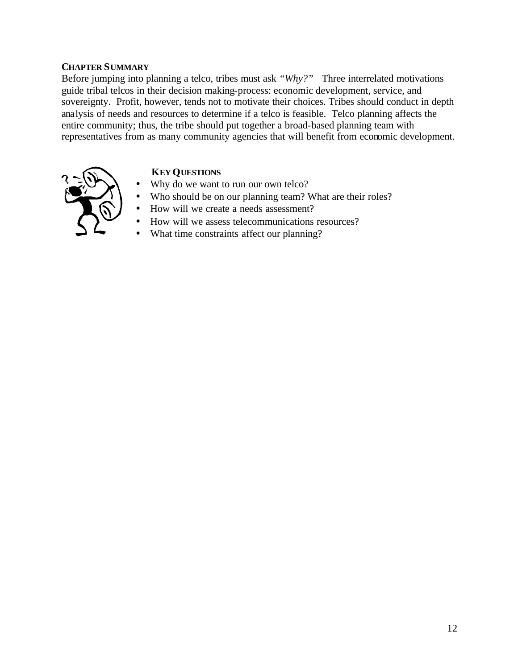#### **CHAPTER SUMMARY**

Before jumping into planning a telco, tribes must ask *"Why?"* Three interrelated motivations guide tribal telcos in their decision making-process: economic development, service, and sovereignty. Profit, however, tends not to motivate their choices. Tribes should conduct in depth analysis of needs and resources to determine if a telco is feasible. Telco planning affects the entire community; thus, the tribe should put together a broad-based planning team with representatives from as many community agencies that will benefit from economic development.

# **KEY QUESTIONS**

- Why do we want to run our own telco?
- Who should be on our planning team? What are their roles?
- How will we create a needs assessment?
- How will we assess telecommunications resources?
- What time constraints affect our planning?

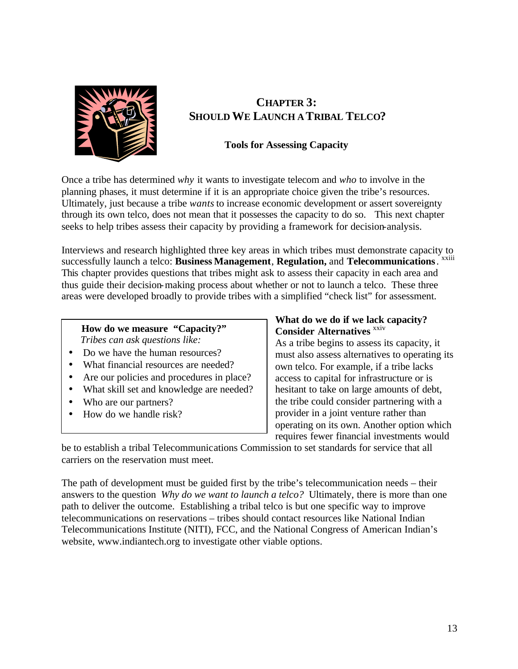

# **CHAPTER 3: SHOULD WE LAUNCH A TRIBAL TELCO?**

## **Tools for Assessing Capacity**

Once a tribe has determined *why* it wants to investigate telecom and *who* to involve in the planning phases, it must determine if it is an appropriate choice given the tribe's resources. Ultimately, just because a tribe *wants* to increase economic development or assert sovereignty through its own telco, does not mean that it possesses the capacity to do so. This next chapter seeks to help tribes assess their capacity by providing a framework for decision-analysis.

Interviews and research highlighted three key areas in which tribes must demonstrate capacity to successfully launch a telco: **Business Management**, **Regulation,** and **Telecommunications**. xxiii This chapter provides questions that tribes might ask to assess their capacity in each area and thus guide their decision-making process about whether or not to launch a telco. These three areas were developed broadly to provide tribes with a simplified "check list" for assessment.

## **How do we measure "Capacity?"**  *Tribes can ask questions like:*

- Do we have the human resources?
- What financial resources are needed?
- Are our policies and procedures in place?
- What skill set and knowledge are needed?
- Who are our partners?
- How do we handle risk?

## **What do we do if we lack capacity? Consider Alternatives** *xxiv*

As a tribe begins to assess its capacity, it must also assess alternatives to operating its own telco. For example, if a tribe lacks access to capital for infrastructure or is hesitant to take on large amounts of debt, the tribe could consider partnering with a provider in a joint venture rather than operating on its own. Another option which requires fewer financial investments would

be to establish a tribal Telecommunications Commission to set standards for service that all carriers on the reservation must meet.

The path of development must be guided first by the tribe's telecommunication needs – their answers to the question *Why do we want to launch a telco?* Ultimately, there is more than one path to deliver the outcome. Establishing a tribal telco is but one specific way to improve telecommunications on reservations – tribes should contact resources like National Indian Telecommunications Institute (NITI), FCC, and the National Congress of American Indian's website, www.indiantech.org to investigate other viable options.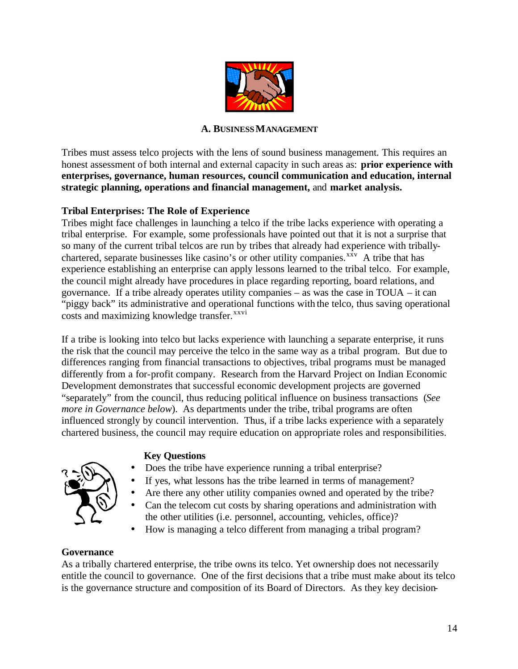

#### **A. BUSINESS MANAGEMENT**

Tribes must assess telco projects with the lens of sound business management. This requires an honest assessment of both internal and external capacity in such areas as: **prior experience with enterprises, governance, human resources, council communication and education, internal strategic planning, operations and financial management,** and **market analysis.**

#### **Tribal Enterprises: The Role of Experience**

Tribes might face challenges in launching a telco if the tribe lacks experience with operating a tribal enterprise. For example, some professionals have pointed out that it is not a surprise that so many of the current tribal telcos are run by tribes that already had experience with triballychartered, separate businesses like casino's or other utility companies. $^{xxv}$  A tribe that has experience establishing an enterprise can apply lessons learned to the tribal telco. For example, the council might already have procedures in place regarding reporting, board relations, and governance. If a tribe already operates utility companies – as was the case in TOUA – it can "piggy back" its administrative and operational functions with the telco, thus saving operational costs and maximizing knowledge transfer.<sup>xxvi</sup>

If a tribe is looking into telco but lacks experience with launching a separate enterprise, it runs the risk that the council may perceive the telco in the same way as a tribal program. But due to differences ranging from financial transactions to objectives, tribal programs must be managed differently from a for-profit company. Research from the Harvard Project on Indian Economic Development demonstrates that successful economic development projects are governed "separately" from the council, thus reducing political influence on business transactions (*See more in Governance below*). As departments under the tribe, tribal programs are often influenced strongly by council intervention. Thus, if a tribe lacks experience with a separately chartered business, the council may require education on appropriate roles and responsibilities.

#### **Key Questions**

• Does the tribe have experience running a tribal enterprise?



- Are there any other utility companies owned and operated by the tribe?
- Can the telecom cut costs by sharing operations and administration with the other utilities (i.e. personnel, accounting, vehicles, office)?
- How is managing a telco different from managing a tribal program?

#### **Governance**

As a tribally chartered enterprise, the tribe owns its telco. Yet ownership does not necessarily entitle the council to governance. One of the first decisions that a tribe must make about its telco is the governance structure and composition of its Board of Directors. As they key decision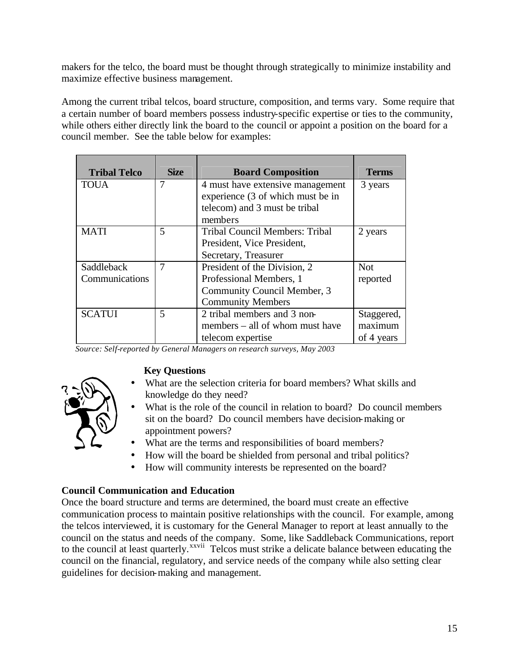makers for the telco, the board must be thought through strategically to minimize instability and maximize effective business management.

Among the current tribal telcos, board structure, composition, and terms vary. Some require that a certain number of board members possess industry-specific expertise or ties to the community, while others either directly link the board to the council or appoint a position on the board for a council member. See the table below for examples:

| <b>Tribal Telco</b> | <b>Size</b> | <b>Board Composition</b>              | <b>Terms</b> |
|---------------------|-------------|---------------------------------------|--------------|
| <b>TOUA</b>         | 7           | 4 must have extensive management      | 3 years      |
|                     |             | experience (3 of which must be in     |              |
|                     |             | telecom) and 3 must be tribal         |              |
|                     |             | members                               |              |
| <b>MATI</b>         | 5           | <b>Tribal Council Members: Tribal</b> | 2 years      |
|                     |             | President, Vice President,            |              |
|                     |             | Secretary, Treasurer                  |              |
| Saddleback          | 7           | President of the Division, 2          | <b>Not</b>   |
| Communications      |             | Professional Members, 1               | reported     |
|                     |             | Community Council Member, 3           |              |
|                     |             | <b>Community Members</b>              |              |
| <b>SCATUI</b>       | 5           | 2 tribal members and 3 non-           | Staggered,   |
|                     |             | members – all of whom must have       | maximum      |
|                     |             | telecom expertise                     | of 4 years   |

 *Source: Self-reported by General Managers on research surveys, May 2003* 

# **Key Questions**

- What are the selection criteria for board members? What skills and knowledge do they need?
- What is the role of the council in relation to board? Do council members sit on the board? Do council members have decision-making or appointment powers?
- What are the terms and responsibilities of board members?
- How will the board be shielded from personal and tribal politics?
- How will community interests be represented on the board?

# **Council Communication and Education**

Once the board structure and terms are determined, the board must create an effective communication process to maintain positive relationships with the council. For example, among the telcos interviewed, it is customary for the General Manager to report at least annually to the council on the status and needs of the company. Some, like Saddleback Communications, report to the council at least quarterly.<sup>xxvii</sup> Telcos must strike a delicate balance between educating the council on the financial, regulatory, and service needs of the company while also setting clear guidelines for decision-making and management.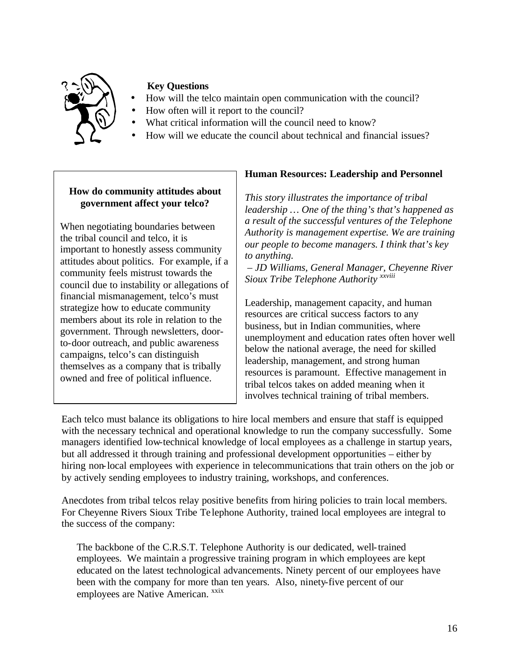

- How will the telco maintain open communication with the council?
- How often will it report to the council?
- What critical information will the council need to know?
- How will we educate the council about technical and financial issues?

# **How do community attitudes about government affect your telco?**

When negotiating boundaries between the tribal council and telco, it is important to honestly assess community attitudes about politics. For example, if a community feels mistrust towards the council due to instability or allegations of financial mismanagement, telco's must strategize how to educate community members about its role in relation to the government. Through newsletters, doorto-door outreach, and public awareness campaigns, telco's can distinguish themselves as a company that is tribally owned and free of political influence.

# **Human Resources: Leadership and Personnel**

*This story illustrates the importance of tribal leadership … One of the thing's that's happened as a result of the successful ventures of the Telephone Authority is management expertise. We are training our people to become managers. I think that's key to anything.*

– *JD Williams, General Manager, Cheyenne River Sioux Tribe Telephone Authority xxviii*

Leadership, management capacity, and human resources are critical success factors to any business, but in Indian communities, where unemployment and education rates often hover well below the national average, the need for skilled leadership, management, and strong human resources is paramount. Effective management in tribal telcos takes on added meaning when it involves technical training of tribal members.

Each telco must balance its obligations to hire local members and ensure that staff is equipped with the necessary technical and operational knowledge to run the company successfully. Some managers identified low-technical knowledge of local employees as a challenge in startup years, but all addressed it through training and professional development opportunities – either by hiring non-local employees with experience in telecommunications that train others on the job or by actively sending employees to industry training, workshops, and conferences.

Anecdotes from tribal telcos relay positive benefits from hiring policies to train local members. For Cheyenne Rivers Sioux Tribe Te lephone Authority, trained local employees are integral to the success of the company:

The backbone of the C.R.S.T. Telephone Authority is our dedicated, well-trained employees. We maintain a progressive training program in which employees are kept educated on the latest technological advancements. Ninety percent of our employees have been with the company for more than ten years. Also, ninety-five percent of our employees are Native American. xxix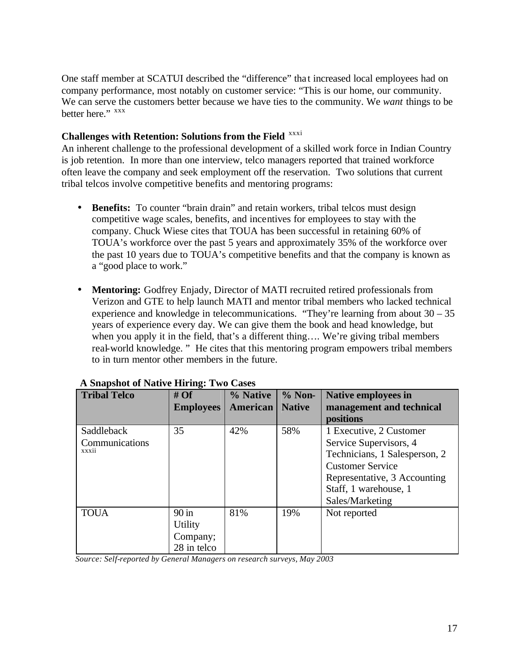One staff member at SCATUI described the "difference" tha t increased local employees had on company performance, most notably on customer service: "This is our home, our community. We can serve the customers better because we have ties to the community. We *want* things to be better here." xxx

### **Challenges with Retention: Solutions from the Field** xxxi

An inherent challenge to the professional development of a skilled work force in Indian Country is job retention. In more than one interview, telco managers reported that trained workforce often leave the company and seek employment off the reservation. Two solutions that current tribal telcos involve competitive benefits and mentoring programs:

- **Benefits:** To counter "brain drain" and retain workers, tribal telcos must design competitive wage scales, benefits, and incentives for employees to stay with the company. Chuck Wiese cites that TOUA has been successful in retaining 60% of TOUA's workforce over the past 5 years and approximately 35% of the workforce over the past 10 years due to TOUA's competitive benefits and that the company is known as a "good place to work."
- **Mentoring:** Godfrey Enjady, Director of MATI recruited retired professionals from Verizon and GTE to help launch MATI and mentor tribal members who lacked technical experience and knowledge in telecommunications. "They're learning from about 30 – 35 years of experience every day. We can give them the book and head knowledge, but when you apply it in the field, that's a different thing.... We're giving tribal members real-world knowledge. " He cites that this mentoring program empowers tribal members to in turn mentor other members in the future.

| <b>Tribal Telco</b> | #Of<br><b>Employees</b> | % Native<br>American | $%$ Non-<br><b>Native</b> | <b>Native employees in</b><br>management and technical |
|---------------------|-------------------------|----------------------|---------------------------|--------------------------------------------------------|
|                     |                         |                      |                           | positions                                              |
| Saddleback          | 35                      | 42%                  | 58%                       | 1 Executive, 2 Customer                                |
| Communications      |                         |                      |                           | Service Supervisors, 4                                 |
| <b>XXXII</b>        |                         |                      |                           | Technicians, 1 Salesperson, 2                          |
|                     |                         |                      |                           | <b>Customer Service</b>                                |
|                     |                         |                      |                           | Representative, 3 Accounting                           |
|                     |                         |                      |                           | Staff, 1 warehouse, 1                                  |
|                     |                         |                      |                           | Sales/Marketing                                        |
| <b>TOUA</b>         | $90 \text{ in}$         | 81%                  | 19%                       | Not reported                                           |
|                     | <b>Utility</b>          |                      |                           |                                                        |
|                     | Company;                |                      |                           |                                                        |
|                     | 28 in telco             |                      |                           |                                                        |

#### **A Snapshot of Native Hiring: Two Cases**

 *Source: Self-reported by General Managers on research surveys, May 2003*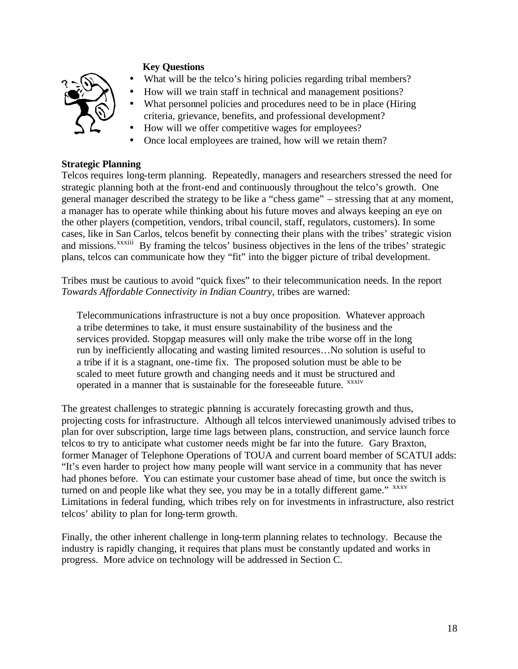

- What will be the telco's hiring policies regarding tribal members?
- How will we train staff in technical and management positions?
- What personnel policies and procedures need to be in place (Hiring) criteria, grievance, benefits, and professional development?
- How will we offer competitive wages for employees?
- Once local employees are trained, how will we retain them?

#### **Strategic Planning**

Telcos requires long-term planning. Repeatedly, managers and researchers stressed the need for strategic planning both at the front-end and continuously throughout the telco's growth. One general manager described the strategy to be like a "chess game" – stressing that at any moment, a manager has to operate while thinking about his future moves and always keeping an eye on the other players (competition, vendors, tribal council, staff, regulators, customers). In some cases, like in San Carlos, telcos benefit by connecting their plans with the tribes' strategic vision and missions.<sup>xxxiii</sup> By framing the telcos' business objectives in the lens of the tribes' strategic plans, telcos can communicate how they "fit" into the bigger picture of tribal development.

Tribes must be cautious to avoid "quick fixes" to their telecommunication needs. In the report *Towards Affordable Connectivity in Indian Country*, tribes are warned:

Telecommunications infrastructure is not a buy once proposition. Whatever approach a tribe determines to take, it must ensure sustainability of the business and the services provided. Stopgap measures will only make the tribe worse off in the long run by inefficiently allocating and wasting limited resources…No solution is useful to a tribe if it is a stagnant, one-time fix. The proposed solution must be able to be scaled to meet future growth and changing needs and it must be structured and operated in a manner that is sustainable for the foreseeable future. *xxxiv* 

The greatest challenges to strategic planning is accurately forecasting growth and thus, projecting costs for infrastructure. Although all telcos interviewed unanimously advised tribes to plan for over subscription, large time lags between plans, construction, and service launch force telcos to try to anticipate what customer needs might be far into the future. Gary Braxton, former Manager of Telephone Operations of TOUA and current board member of SCATUI adds: "It's even harder to project how many people will want service in a community that has never had phones before. You can estimate your customer base ahead of time, but once the switch is turned on and people like what they see, you may be in a totally different game." XXXV Limitations in federal funding, which tribes rely on for investments in infrastructure, also restrict telcos' ability to plan for long-term growth.

Finally, the other inherent challenge in long-term planning relates to technology. Because the industry is rapidly changing, it requires that plans must be constantly updated and works in progress. More advice on technology will be addressed in Section C.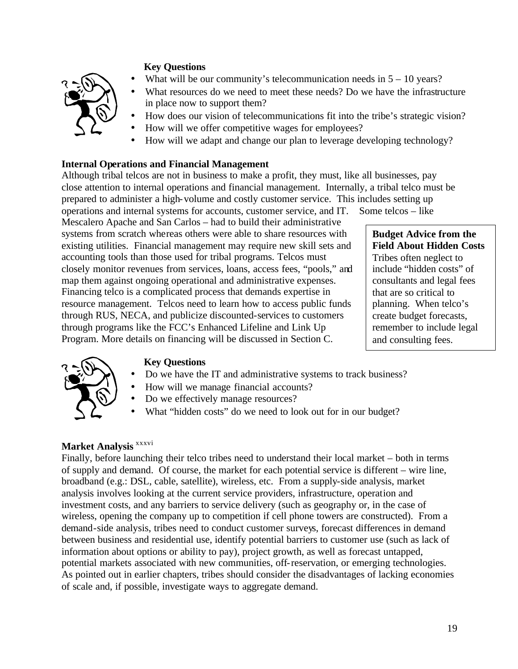

- What will be our community's telecommunication needs in  $5 10$  years?
- What resources do we need to meet these needs? Do we have the infrastructure in place now to support them?
- How does our vision of telecommunications fit into the tribe's strategic vision?
- How will we offer competitive wages for employees?
- How will we adapt and change our plan to leverage developing technology?

## **Internal Operations and Financial Management**

Although tribal telcos are not in business to make a profit, they must, like all businesses, pay close attention to internal operations and financial management. Internally, a tribal telco must be prepared to administer a high-volume and costly customer service. This includes setting up operations and internal systems for accounts, customer service, and IT. Some telcos – like

Mescalero Apache and San Carlos – had to build their administrative systems from scratch whereas others were able to share resources with existing utilities. Financial management may require new skill sets and accounting tools than those used for tribal programs. Telcos must closely monitor revenues from services, loans, access fees, "pools," and map them against ongoing operational and administrative expenses. Financing telco is a complicated process that demands expertise in resource management. Telcos need to learn how to access public funds through RUS, NECA, and publicize discounted-services to customers through programs like the FCC's Enhanced Lifeline and Link Up Program. More details on financing will be discussed in Section C.

## **Budget Advice from the Field About Hidden Costs** Tribes often neglect to include "hidden costs" of consultants and legal fees that are so critical to planning. When telco's create budget forecasts, remember to include legal and consulting fees.



## **Key Questions**

- Do we have the IT and administrative systems to track business?
- How will we manage financial accounts?
- Do we effectively manage resources?
- What "hidden costs" do we need to look out for in our budget?

# **Market Analysis** xxxvi

Finally, before launching their telco tribes need to understand their local market – both in terms of supply and demand. Of course, the market for each potential service is different – wire line, broadband (e.g.: DSL, cable, satellite), wireless, etc. From a supply-side analysis, market analysis involves looking at the current service providers, infrastructure, operation and investment costs, and any barriers to service delivery (such as geography or, in the case of wireless, opening the company up to competition if cell phone towers are constructed). From a demand-side analysis, tribes need to conduct customer surveys, forecast differences in demand between business and residential use, identify potential barriers to customer use (such as lack of information about options or ability to pay), project growth, as well as forecast untapped, potential markets associated with new communities, off-reservation, or emerging technologies. As pointed out in earlier chapters, tribes should consider the disadvantages of lacking economies of scale and, if possible, investigate ways to aggregate demand.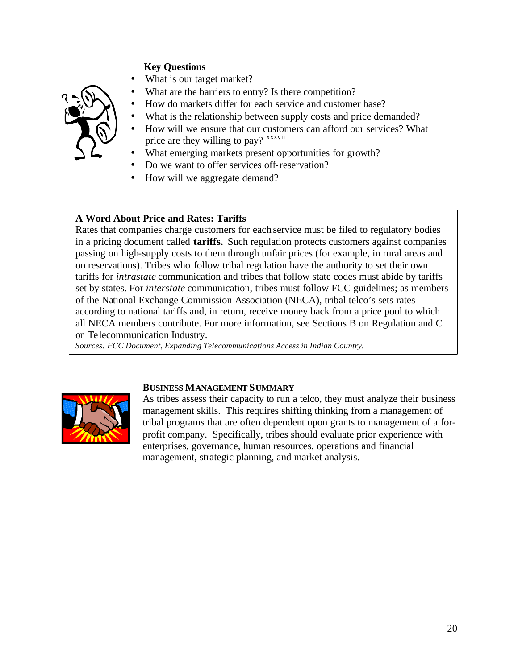

- What is our target market?
- What are the barriers to entry? Is there competition?
- How do markets differ for each service and customer base?
- What is the relationship between supply costs and price demanded?
- How will we ensure that our customers can afford our services? What price are they willing to pay? <sup>xxxvii</sup>
- What emerging markets present opportunities for growth?
- Do we want to offer services off-reservation?
- How will we aggregate demand?

#### **A Word About Price and Rates: Tariffs**

Rates that companies charge customers for each service must be filed to regulatory bodies in a pricing document called **tariffs.** Such regulation protects customers against companies passing on high-supply costs to them through unfair prices (for example, in rural areas and on reservations). Tribes who follow tribal regulation have the authority to set their own tariffs for *intrastate* communication and tribes that follow state codes must abide by tariffs set by states. For *interstate* communication, tribes must follow FCC guidelines; as members of the National Exchange Commission Association (NECA), tribal telco's sets rates according to national tariffs and, in return, receive money back from a price pool to which all NECA members contribute. For more information, see Sections B on Regulation and C on Telecommunication Industry.

*Sources: FCC Document, Expanding Telecommunications Access in Indian Country.*



#### **BUSINESS MANAGEMENT SUMMARY**

As tribes assess their capacity to run a telco, they must analyze their business management skills. This requires shifting thinking from a management of tribal programs that are often dependent upon grants to management of a forprofit company. Specifically, tribes should evaluate prior experience with enterprises, governance, human resources, operations and financial management, strategic planning, and market analysis.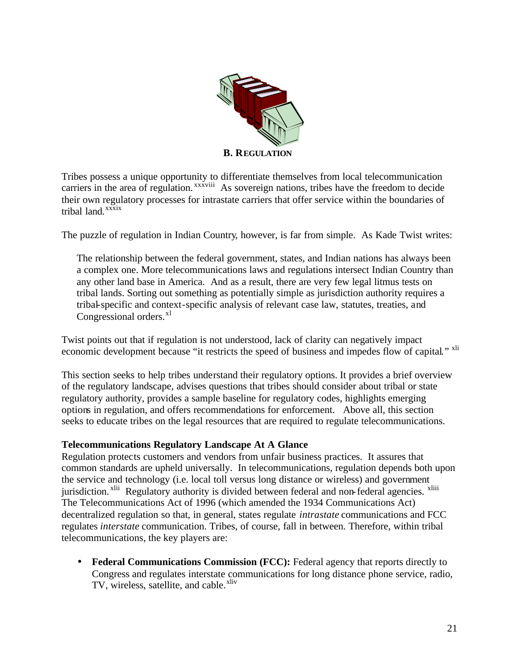

Tribes possess a unique opportunity to differentiate themselves from local telecommunication carriers in the area of regulation.<sup>xxxviii</sup> As sovereign nations, tribes have the freedom to decide their own regulatory processes for intrastate carriers that offer service within the boundaries of tribal land.<sup>xxxix</sup>

The puzzle of regulation in Indian Country, however, is far from simple. As Kade Twist writes:

The relationship between the federal government, states, and Indian nations has always been a complex one. More telecommunications laws and regulations intersect Indian Country than any other land base in America. And as a result, there are very few legal litmus tests on tribal lands. Sorting out something as potentially simple as jurisdiction authority requires a tribal-specific and context-specific analysis of relevant case law, statutes, treaties, and Congressional orders.<sup>xl</sup>

Twist points out that if regulation is not understood, lack of clarity can negatively impact economic development because "it restricts the speed of business and impedes flow of capital." <sup>xli</sup>

This section seeks to help tribes understand their regulatory options. It provides a brief overview of the regulatory landscape, advises questions that tribes should consider about tribal or state regulatory authority, provides a sample baseline for regulatory codes, highlights emerging options in regulation, and offers recommendations for enforcement. Above all, this section seeks to educate tribes on the legal resources that are required to regulate telecommunications.

#### **Telecommunications Regulatory Landscape At A Glance**

Regulation protects customers and vendors from unfair business practices. It assures that common standards are upheld universally. In telecommunications, regulation depends both upon the service and technology (i.e. local toll versus long distance or wireless) and government jurisdiction.<sup>xlii</sup> Regulatory authority is divided between federal and non-federal agencies. <sup>xliii</sup> The Telecommunications Act of 1996 (which amended the 1934 Communications Act) decentralized regulation so that, in general, states regulate *intrastate* communications and FCC regulates *interstate* communication. Tribes, of course, fall in between. Therefore, within tribal telecommunications, the key players are:

• **Federal Communications Commission (FCC):** Federal agency that reports directly to Congress and regulates interstate communications for long distance phone service, radio, TV, wireless, satellite, and cable.<sup>xliv</sup>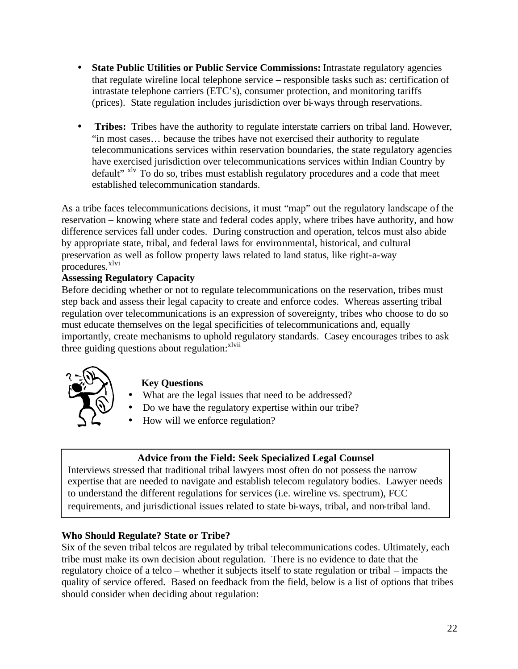- **State Public Utilities or Public Service Commissions:** Intrastate regulatory agencies that regulate wireline local telephone service – responsible tasks such as: certification of intrastate telephone carriers (ETC's), consumer protection, and monitoring tariffs (prices). State regulation includes jurisdiction over bi-ways through reservations.
- **Tribes:** Tribes have the authority to regulate interstate carriers on tribal land. However, "in most cases… because the tribes have not exercised their authority to regulate telecommunications services within reservation boundaries, the state regulatory agencies have exercised jurisdiction over telecommunications services within Indian Country by default" xlv To do so, tribes must establish regulatory procedures and a code that meet established telecommunication standards.

As a tribe faces telecommunications decisions, it must "map" out the regulatory landscape of the reservation – knowing where state and federal codes apply, where tribes have authority, and how difference services fall under codes. During construction and operation, telcos must also abide by appropriate state, tribal, and federal laws for environmental, historical, and cultural preservation as well as follow property laws related to land status, like right-a-way procedures.<sup>xlvi</sup>

## **Assessing Regulatory Capacity**

Before deciding whether or not to regulate telecommunications on the reservation, tribes must step back and assess their legal capacity to create and enforce codes. Whereas asserting tribal regulation over telecommunications is an expression of sovereignty, tribes who choose to do so must educate themselves on the legal specificities of telecommunications and, equally importantly, create mechanisms to uphold regulatory standards. Casey encourages tribes to ask three guiding questions about regulation: $x^{\text{lvii}}$ 



# **Key Questions**

- What are the legal issues that need to be addressed?
- Do we have the regulatory expertise within our tribe?
- How will we enforce regulation?

## **Advice from the Field: Seek Specialized Legal Counsel**

Interviews stressed that traditional tribal lawyers most often do not possess the narrow expertise that are needed to navigate and establish telecom regulatory bodies. Lawyer needs to understand the different regulations for services (i.e. wireline vs. spectrum), FCC requirements, and jurisdictional issues related to state bi-ways, tribal, and non-tribal land.

## **Who Should Regulate? State or Tribe?**

Six of the seven tribal telcos are regulated by tribal telecommunications codes. Ultimately, each tribe must make its own decision about regulation. There is no evidence to date that the regulatory choice of a telco – whether it subjects itself to state regulation or tribal – impacts the quality of service offered. Based on feedback from the field, below is a list of options that tribes should consider when deciding about regulation: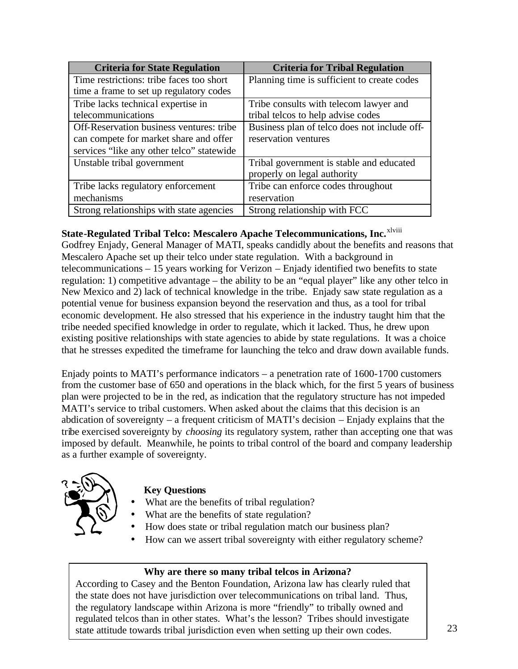| <b>Criteria for State Regulation</b>      | <b>Criteria for Tribal Regulation</b>        |
|-------------------------------------------|----------------------------------------------|
| Time restrictions: tribe faces too short  | Planning time is sufficient to create codes  |
| time a frame to set up regulatory codes   |                                              |
| Tribe lacks technical expertise in        | Tribe consults with telecom lawyer and       |
| telecommunications                        | tribal telcos to help advise codes           |
| Off-Reservation business ventures: tribe  | Business plan of telco does not include off- |
| can compete for market share and offer    | reservation ventures                         |
| services "like any other telco" statewide |                                              |
| Unstable tribal government                | Tribal government is stable and educated     |
|                                           | properly on legal authority                  |
| Tribe lacks regulatory enforcement        | Tribe can enforce codes throughout           |
| mechanisms                                | reservation                                  |
| Strong relationships with state agencies  | Strong relationship with FCC                 |

# **State-Regulated Tribal Telco: Mescalero Apache Telecommunications, Inc.**xlviii

Godfrey Enjady, General Manager of MATI, speaks candidly about the benefits and reasons that Mescalero Apache set up their telco under state regulation. With a background in telecommunications – 15 years working for Verizon – Enjady identified two benefits to state regulation: 1) competitive advantage – the ability to be an "equal player" like any other telco in New Mexico and 2) lack of technical knowledge in the tribe. Enjady saw state regulation as a potential venue for business expansion beyond the reservation and thus, as a tool for tribal economic development. He also stressed that his experience in the industry taught him that the tribe needed specified knowledge in order to regulate, which it lacked. Thus, he drew upon existing positive relationships with state agencies to abide by state regulations. It was a choice that he stresses expedited the timeframe for launching the telco and draw down available funds.

Enjady points to MATI's performance indicators – a penetration rate of 1600-1700 customers from the customer base of 650 and operations in the black which, for the first 5 years of business plan were projected to be in the red, as indication that the regulatory structure has not impeded MATI's service to tribal customers. When asked about the claims that this decision is an abdication of sovereignty – a frequent criticism of MATI's decision – Enjady explains that the tribe exercised sovereignty by *choosing* its regulatory system, rather than accepting one that was imposed by default. Meanwhile, he points to tribal control of the board and company leadership as a further example of sovereignty.



## **Key Questions**

- What are the benefits of tribal regulation?
- What are the benefits of state regulation?
- How does state or tribal regulation match our business plan?
- How can we assert tribal sovereignty with either regulatory scheme?

## **Why are there so many tribal telcos in Arizona?**

According to Casey and the Benton Foundation, Arizona law has clearly ruled that the state does not have jurisdiction over telecommunications on tribal land. Thus, the regulatory landscape within Arizona is more "friendly" to tribally owned and regulated telcos than in other states. What's the lesson? Tribes should investigate state attitude towards tribal jurisdiction even when setting up their own codes.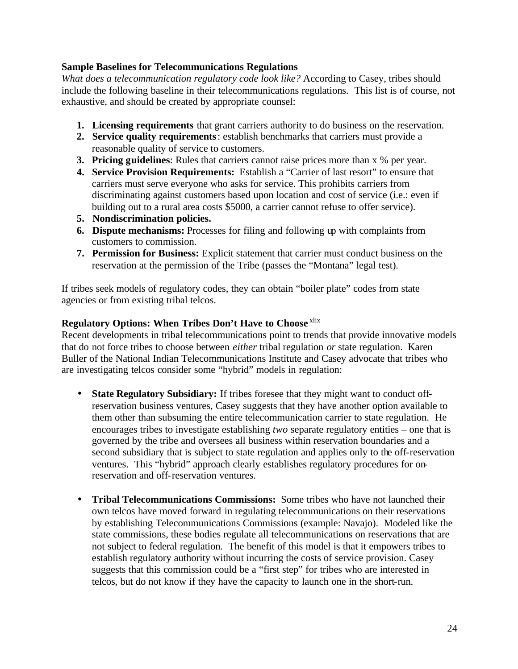#### **Sample Baselines for Telecommunications Regulations**

*What does a telecommunication regulatory code look like?* According to Casey, tribes should include the following baseline in their telecommunications regulations. This list is of course, not exhaustive, and should be created by appropriate counsel:

- **1. Licensing requirements** that grant carriers authority to do business on the reservation.
- **2. Service quality requirements**: establish benchmarks that carriers must provide a reasonable quality of service to customers.
- **3. Pricing guidelines**: Rules that carriers cannot raise prices more than x % per year.
- **4. Service Provision Requirements:** Establish a "Carrier of last resort" to ensure that carriers must serve everyone who asks for service. This prohibits carriers from discriminating against customers based upon location and cost of service (i.e.: even if building out to a rural area costs \$5000, a carrier cannot refuse to offer service).
- **5. Nondiscrimination policies.**
- **6. Dispute mechanisms:** Processes for filing and following up with complaints from customers to commission.
- **7. Permission for Business:** Explicit statement that carrier must conduct business on the reservation at the permission of the Tribe (passes the "Montana" legal test).

If tribes seek models of regulatory codes, they can obtain "boiler plate" codes from state agencies or from existing tribal telcos.

## **Regulatory Options: When Tribes Don't Have to Choose** xlix

Recent developments in tribal telecommunications point to trends that provide innovative models that do not force tribes to choose between *either* tribal regulation *or* state regulation. Karen Buller of the National Indian Telecommunications Institute and Casey advocate that tribes who are investigating telcos consider some "hybrid" models in regulation:

- **State Regulatory Subsidiary:** If tribes foresee that they might want to conduct offreservation business ventures, Casey suggests that they have another option available to them other than subsuming the entire telecommunication carrier to state regulation. He encourages tribes to investigate establishing *two* separate regulatory entities – one that is governed by the tribe and oversees all business within reservation boundaries and a second subsidiary that is subject to state regulation and applies only to the off-reservation ventures. This "hybrid" approach clearly establishes regulatory procedures for onreservation and off-reservation ventures.
- **Tribal Telecommunications Commissions:** Some tribes who have not launched their own telcos have moved forward in regulating telecommunications on their reservations by establishing Telecommunications Commissions (example: Navajo). Modeled like the state commissions, these bodies regulate all telecommunications on reservations that are not subject to federal regulation. The benefit of this model is that it empowers tribes to establish regulatory authority without incurring the costs of service provision. Casey suggests that this commission could be a "first step" for tribes who are interested in telcos, but do not know if they have the capacity to launch one in the short-run.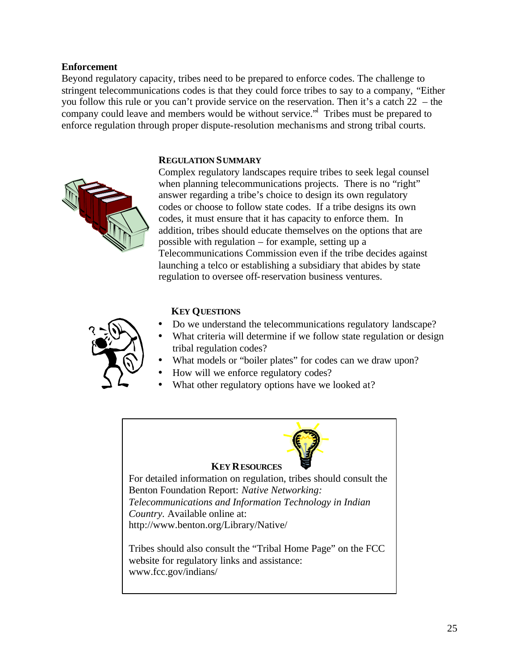#### **Enforcement**

Beyond regulatory capacity, tribes need to be prepared to enforce codes. The challenge to stringent telecommunications codes is that they could force tribes to say to a company, "Either you follow this rule or you can't provide service on the reservation. Then it's a catch 22 – the company could leave and members would be without service." Tribes must be prepared to enforce regulation through proper dispute-resolution mechanisms and strong tribal courts.

#### **REGULATION SUMMARY**



Complex regulatory landscapes require tribes to seek legal counsel when planning telecommunications projects. There is no "right" answer regarding a tribe's choice to design its own regulatory codes or choose to follow state codes. If a tribe designs its own codes, it must ensure that it has capacity to enforce them. In addition, tribes should educate themselves on the options that are possible with regulation – for example, setting up a Telecommunications Commission even if the tribe decides against launching a telco or establishing a subsidiary that abides by state regulation to oversee off-reservation business ventures.



#### **KEY QUESTIONS**

- Do we understand the telecommunications regulatory landscape?
- What criteria will determine if we follow state regulation or design tribal regulation codes?
- What models or "boiler plates" for codes can we draw upon?
- How will we enforce regulatory codes?
- What other regulatory options have we looked at?

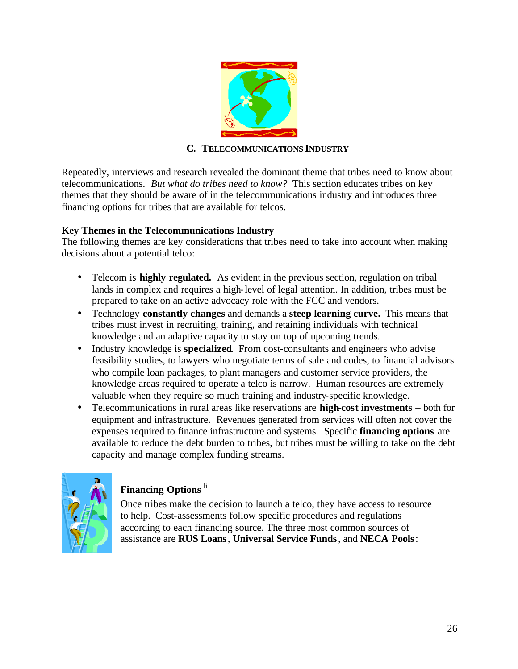

# **C. TELECOMMUNICATIONS INDUSTRY**

Repeatedly, interviews and research revealed the dominant theme that tribes need to know about telecommunications. *But what do tribes need to know?* This section educates tribes on key themes that they should be aware of in the telecommunications industry and introduces three financing options for tribes that are available for telcos.

## **Key Themes in the Telecommunications Industry**

The following themes are key considerations that tribes need to take into account when making decisions about a potential telco:

- Telecom is **highly regulated.** As evident in the previous section, regulation on tribal lands in complex and requires a high-level of legal attention. In addition, tribes must be prepared to take on an active advocacy role with the FCC and vendors.
- Technology **constantly changes** and demands a **steep learning curve.** This means that tribes must invest in recruiting, training, and retaining individuals with technical knowledge and an adaptive capacity to stay on top of upcoming trends.
- Industry knowledge is **specialized**. From cost-consultants and engineers who advise feasibility studies, to lawyers who negotiate terms of sale and codes, to financial advisors who compile loan packages, to plant managers and customer service providers, the knowledge areas required to operate a telco is narrow. Human resources are extremely valuable when they require so much training and industry-specific knowledge.
- Telecommunications in rural areas like reservations are **high-cost investments** both for equipment and infrastructure. Revenues generated from services will often not cover the expenses required to finance infrastructure and systems. Specific **financing options** are available to reduce the debt burden to tribes, but tribes must be willing to take on the debt capacity and manage complex funding streams.



# **Financing Options** li

Once tribes make the decision to launch a telco, they have access to resource to help. Cost-assessments follow specific procedures and regulations according to each financing source. The three most common sources of assistance are **RUS Loans**, **Universal Service Funds**, and **NECA Pools**: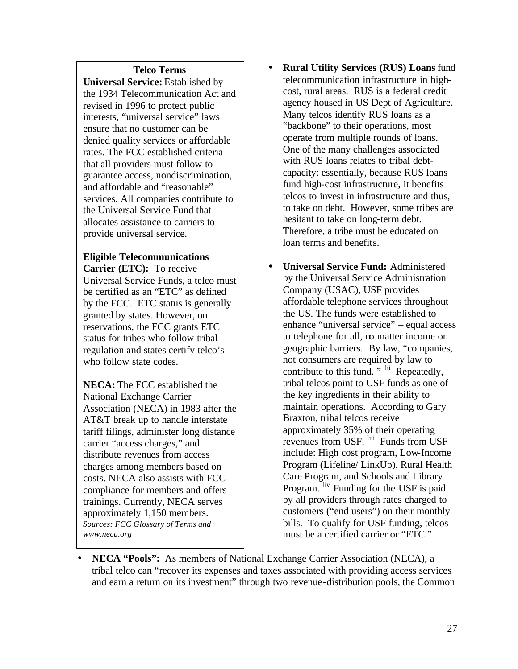#### **Telco Terms**

**Universal Service:** Established by the 1934 Telecommunication Act and revised in 1996 to protect public interests, "universal service" laws ensure that no customer can be denied quality services or affordable rates. The FCC established criteria that all providers must follow to guarantee access, nondiscrimination, and affordable and "reasonable" services. All companies contribute to the Universal Service Fund that allocates assistance to carriers to provide universal service.

#### **Eligible Telecommunications Carrier (ETC):** To receive

Universal Service Funds, a telco must be certified as an "ETC" as defined by the FCC. ETC status is generally granted by states. However, on reservations, the FCC grants ETC status for tribes who follow tribal regulation and states certify telco's who follow state codes.

**NECA:** The FCC established the National Exchange Carrier Association (NECA) in 1983 after the AT&T break up to handle interstate tariff filings, administer long distance carrier "access charges," and distribute revenues from access charges among members based on costs. NECA also assists with FCC compliance for members and offers trainings. Currently, NECA serves approximately 1,150 members. *Sources: FCC Glossary of Terms and www.neca.org*

- **Rural Utility Services (RUS) Loans** fund telecommunication infrastructure in highcost, rural areas. RUS is a federal credit agency housed in US Dept of Agriculture. Many telcos identify RUS loans as a "backbone" to their operations, most operate from multiple rounds of loans. One of the many challenges associated with RUS loans relates to tribal debtcapacity: essentially, because RUS loans fund high-cost infrastructure, it benefits telcos to invest in infrastructure and thus, to take on debt. However, some tribes are hesitant to take on long-term debt. Therefore, a tribe must be educated on loan terms and benefits.
- **Universal Service Fund:** Administered by the Universal Service Administration Company (USAC), USF provides affordable telephone services throughout the US. The funds were established to enhance "universal service" – equal access to telephone for all, no matter income or geographic barriers. By law, "companies, not consumers are required by law to contribute to this fund. " lii Repeatedly, tribal telcos point to USF funds as one of the key ingredients in their ability to maintain operations. According to Gary Braxton, tribal telcos receive approximately 35% of their operating revenues from USF. liii Funds from USF include: High cost program, Low-Income Program (Lifeline/ LinkUp), Rural Health Care Program, and Schools and Library Program. liv Funding for the USF is paid by all providers through rates charged to customers ("end users") on their monthly bills. To qualify for USF funding, telcos must be a certified carrier or "ETC."
- **NECA "Pools":** As members of National Exchange Carrier Association (NECA), a tribal telco can "recover its expenses and taxes associated with providing access services and earn a return on its investment" through two revenue-distribution pools, the Common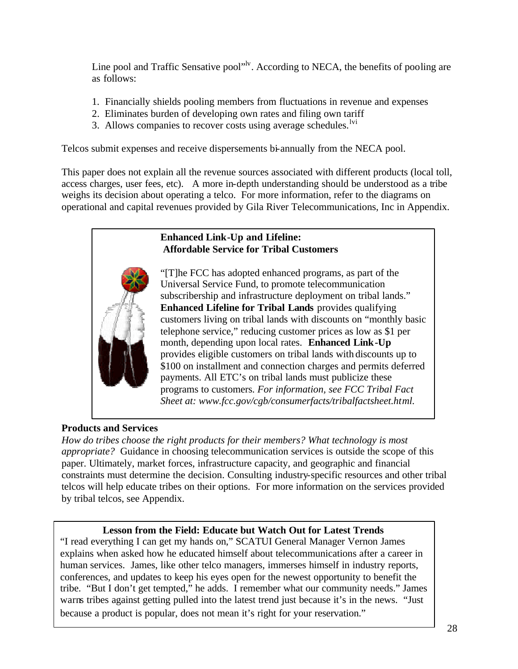Line pool and Traffic Sensative pool"<sup>ly</sup>. According to NECA, the benefits of pooling are as follows:

- 1. Financially shields pooling members from fluctuations in revenue and expenses
- 2. Eliminates burden of developing own rates and filing own tariff
- 3. Allows companies to recover costs using average schedules. $\frac{1}{1}$

Telcos submit expenses and receive dispersements bi-annually from the NECA pool.

This paper does not explain all the revenue sources associated with different products (local toll, access charges, user fees, etc). A more in-depth understanding should be understood as a tribe weighs its decision about operating a telco. For more information, refer to the diagrams on operational and capital revenues provided by Gila River Telecommunications, Inc in Appendix.



# **Products and Services**

*How do tribes choose the right products for their members? What technology is most appropriate?* Guidance in choosing telecommunication services is outside the scope of this paper. Ultimately, market forces, infrastructure capacity, and geographic and financial constraints must determine the decision. Consulting industry-specific resources and other tribal telcos will help educate tribes on their options. For more information on the services provided by tribal telcos, see Appendix.

# **Lesson from the Field: Educate but Watch Out for Latest Trends**

"I read everything I can get my hands on," SCATUI General Manager Vernon James explains when asked how he educated himself about telecommunications after a career in human services. James, like other telco managers, immerses himself in industry reports, conferences, and updates to keep his eyes open for the newest opportunity to benefit the tribe. "But I don't get tempted," he adds. I remember what our community needs." James warns tribes against getting pulled into the latest trend just because it's in the news. "Just because a product is popular, does not mean it's right for your reservation."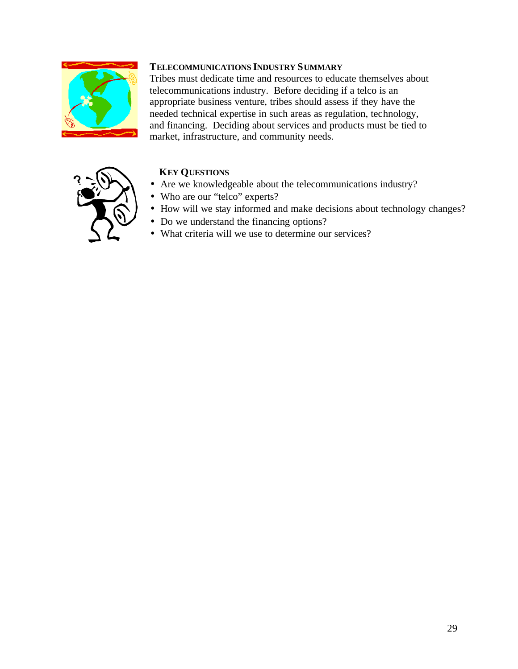

## **TELECOMMUNICATIONS INDUSTRY SUMMARY**

Tribes must dedicate time and resources to educate themselves about telecommunications industry. Before deciding if a telco is an appropriate business venture, tribes should assess if they have the needed technical expertise in such areas as regulation, technology, and financing. Deciding about services and products must be tied to market, infrastructure, and community needs.



# **KEY QUESTIONS**

- Are we knowledgeable about the telecommunications industry?
- Who are our "telco" experts?
- How will we stay informed and make decisions about technology changes?
- Do we understand the financing options?
- What criteria will we use to determine our services?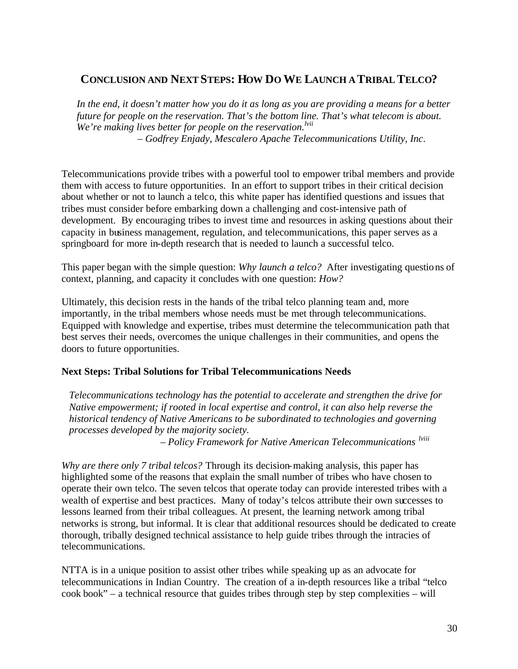# **CONCLUSION AND NEXT STEPS: HOW DO WE LAUNCH A TRIBAL TELCO?**

*In the end, it doesn't matter how you do it as long as you are providing a means for a better future for people on the reservation. That's the bottom line. That's what telecom is about. We're making lives better for people on the reservation.lvii* – *Godfrey Enjady, Mescalero Apache Telecommunications Utility, Inc*.

Telecommunications provide tribes with a powerful tool to empower tribal members and provide them with access to future opportunities. In an effort to support tribes in their critical decision about whether or not to launch a telco, this white paper has identified questions and issues that tribes must consider before embarking down a challenging and cost-intensive path of development. By encouraging tribes to invest time and resources in asking questions about their capacity in business management, regulation, and telecommunications, this paper serves as a springboard for more in-depth research that is needed to launch a successful telco.

This paper began with the simple question: *Why launch a telco?* After investigating questions of context, planning, and capacity it concludes with one question: *How?*

Ultimately, this decision rests in the hands of the tribal telco planning team and, more importantly, in the tribal members whose needs must be met through telecommunications. Equipped with knowledge and expertise, tribes must determine the telecommunication path that best serves their needs, overcomes the unique challenges in their communities, and opens the doors to future opportunities.

## **Next Steps: Tribal Solutions for Tribal Telecommunications Needs**

*Telecommunications technology has the potential to accelerate and strengthen the drive for Native empowerment; if rooted in local expertise and control, it can also help reverse the historical tendency of Native Americans to be subordinated to technologies and governing processes developed by the majority society.*

– *Policy Framework for Native American Telecommunications lviii*

*Why are there only 7 tribal telcos?* Through its decision-making analysis, this paper has highlighted some of the reasons that explain the small number of tribes who have chosen to operate their own telco. The seven telcos that operate today can provide interested tribes with a wealth of expertise and best practices. Many of today's telcos attribute their own successes to lessons learned from their tribal colleagues. At present, the learning network among tribal networks is strong, but informal. It is clear that additional resources should be dedicated to create thorough, tribally designed technical assistance to help guide tribes through the intracies of telecommunications.

NTTA is in a unique position to assist other tribes while speaking up as an advocate for telecommunications in Indian Country. The creation of a in-depth resources like a tribal "telco cook book" – a technical resource that guides tribes through step by step complexities – will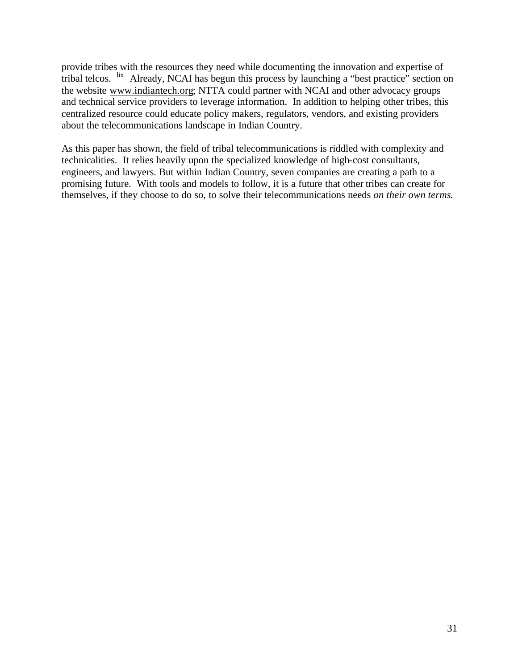provide tribes with the resources they need while documenting the innovation and expertise of tribal telcos. lix Already, NCAI has begun this process by launching a "best practice" section on the website www.indiantech.org; NTTA could partner with NCAI and other advocacy groups and technical service providers to leverage information. In addition to helping other tribes, this centralized resource could educate policy makers, regulators, vendors, and existing providers about the telecommunications landscape in Indian Country.

As this paper has shown, the field of tribal telecommunications is riddled with complexity and technicalities. It relies heavily upon the specialized knowledge of high-cost consultants, engineers, and lawyers. But within Indian Country, seven companies are creating a path to a promising future. With tools and models to follow, it is a future that other tribes can create for themselves, if they choose to do so, to solve their telecommunications needs *on their own terms*.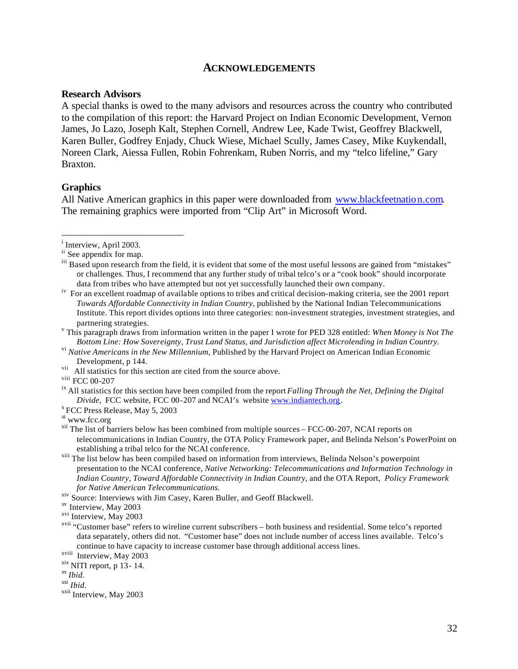#### **ACKNOWLEDGEMENTS**

#### **Research Advisors**

A special thanks is owed to the many advisors and resources across the country who contributed to the compilation of this report: the Harvard Project on Indian Economic Development, Vernon James, Jo Lazo, Joseph Kalt, Stephen Cornell, Andrew Lee, Kade Twist, Geoffrey Blackwell, Karen Buller, Godfrey Enjady, Chuck Wiese, Michael Scully, James Casey, Mike Kuykendall, Noreen Clark, Aiessa Fullen, Robin Fohrenkam, Ruben Norris, and my "telco lifeline," Gary Braxton.

#### **Graphics**

All Native American graphics in this paper were downloaded from www.blackfeetnation.com. The remaining graphics were imported from "Clip Art" in Microsoft Word.

viii FCC 00-207

<sup>&</sup>lt;sup>i</sup> Interview, April 2003.

ii See appendix for map.

<sup>&</sup>lt;sup>iii</sup> Based upon research from the field, it is evident that some of the most useful lessons are gained from "mistakes" or challenges. Thus, I recommend that any further study of tribal telco's or a "cook book" should incorporate data from tribes who have attempted but not yet successfully launched their own company.

<sup>&</sup>lt;sup>iv</sup> For an excellent roadmap of available options to tribes and critical decision-making criteria, see the 2001 report *Towards Affordable Connectivity in Indian Country,* published by the National Indian Telecommunications Institute. This report divides options into three categories: non-investment strategies, investment strategies, and partnering strategies.

v This paragraph draws from information written in the paper I wrote for PED 328 entitled: *When Money is Not The Bottom Line: How Sovereignty, Trust Land Status, and Jurisdiction affect Microlending in Indian Country.*

vi *Native Americans in the New Millennium,* Published by the Harvard Project on American Indian Economic Development, p 144.

<sup>&</sup>lt;sup>vii</sup> All statistics for this section are cited from the source above.

ix All statistics for this section have been compiled from the report *Falling Through the Net, Defining the Digital Divide,* FCC website, FCC 00-207 and NCAI's website www.indiantech.org.

x FCC Press Release, May 5, 2003

xi www.fcc.org

<sup>&</sup>lt;sup>xii</sup> The list of barriers below has been combined from multiple sources – FCC-00-207, NCAI reports on telecommunications in Indian Country, the OTA Policy Framework paper, and Belinda Nelson's PowerPoint on establishing a tribal telco for the NCAI conference.

xiii The list below has been compiled based on information from interviews, Belinda Nelson's powerpoint presentation to the NCAI conference, *Native Networking: Telecommunications and Information Technology in Indian Country, Toward Affordable Connectivity in Indian Country,* and the OTA Report, *Policy Framework for Native American Telecommunications.*

xiv Source: Interviews with Jim Casey, Karen Buller, and Geoff Blackwell.

xv Interview, May 2003

xvi Interview, May 2003

xvii "Customer base" refers to wireline current subscribers – both business and residential. Some telco's reported data separately, others did not. "Customer base" does not include number of access lines available. Telco's continue to have capacity to increase customer base through additional access lines.

xviii Interview, May 2003

 $x$ <sup>xix</sup> NITI report, p 13 - 14.

xx *Ibid.*

xxi *Ibid.*

xxii Interview, May 2003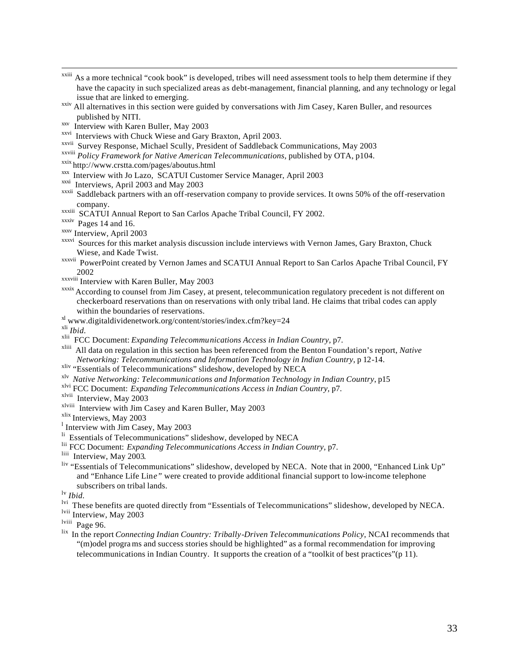- <sup>xxiii</sup> As a more technical "cook book" is developed, tribes will need assessment tools to help them determine if they have the capacity in such specialized areas as debt-management, financial planning, and any technology or legal issue that are linked to emerging.
- xxiv All alternatives in this section were guided by conversations with Jim Casey, Karen Buller, and resources published by NITI.
- xxv Interview with Karen Buller, May 2003
- xxvi Interviews with Chuck Wiese and Gary Braxton, April 2003.
- xxvii Survey Response, Michael Scully, President of Saddleback Communications, May 2003
- xxviii *Policy Framework for Native American Telecommunications,* published by OTA, p104.
- xxix http://www.crstta.com/pages/aboutus.html
- xxx Interview with Jo Lazo, SCATUI Customer Service Manager, April 2003
- xxxi Interviews, April 2003 and May 2003
- xxxii Saddleback partners with an off-reservation company to provide services. It owns 50% of the off-reservation company.
- xxxiii SCATUI Annual Report to San Carlos Apache Tribal Council, FY 2002.
- xxxiv Pages 14 and 16.
- xxxv Interview, April 2003
- xxxvi Sources for this market analysis discussion include interviews with Vernon James, Gary Braxton, Chuck Wiese, and Kade Twist.
- xxxvii PowerPoint created by Vernon James and SCATUI Annual Report to San Carlos Apache Tribal Council, FY 2002
- xxxviii Interview with Karen Buller, May 2003
- xxxix According to counsel from Jim Casey, at present, telecommunication regulatory precedent is not different on checkerboard reservations than on reservations with only tribal land. He claims that tribal codes can apply within the boundaries of reservations.
- xl www.digitaldividenetwork.org/content/stories/index.cfm?key=24

xli *Ibid.*

xlii FCC Document: *Expanding Telecommunications Access in Indian Country,* p7.

xliii All data on regulation in this section has been referenced from the Benton Foundation's report, *Native Networking: Telecommunications and Information Technology in Indian Country*, p 12-14.

- xliv "Essentials of Telecommunications" slideshow, developed by NECA
- xlv *Native Networking: Telecommunications and Information Technology in Indian Country*, p15
- xlvi FCC Document: *Expanding Telecommunications Access in Indian Country,* p7.
- xlvii Interview, May 2003
- xlviii Interview with Jim Casey and Karen Buller, May 2003
- xlix Interviews, May 2003
- <sup>1</sup> Interview with Jim Casey, May 2003
- <sup>li</sup> Essentials of Telecommunications" slideshow, developed by NECA
- lii FCC Document: *Expanding Telecommunications Access in Indian Country,* p7.
- liii Interview, May 2003.
- liv "Essentials of Telecommunications" slideshow, developed by NECA. Note that in 2000, "Enhanced Link Up" and "Enhance Life Lin*e"* were created to provide additional financial support to low-income telephone subscribers on tribal lands.

lv *Ibid.*

- lvi These benefits are quoted directly from "Essentials of Telecommunications" slideshow, developed by NECA.
- lvii Interview, May 2003

lviii Page 96.

lix In the report *Connecting Indian Country: Tribally-Driven Telecommunications Policy*, NCAI recommends that "(m)odel progra ms and success stories should be highlighted" as a formal recommendation for improving telecommunications in Indian Country. It supports the creation of a "toolkit of best practices"(p 11).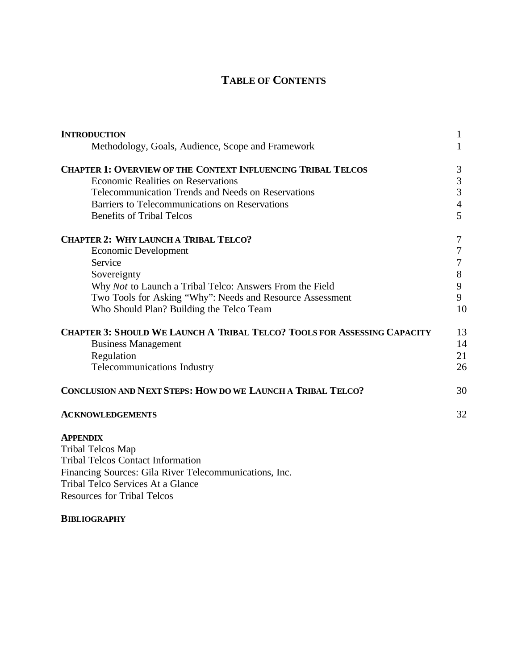# **TABLE OF CONTENTS**

| <b>INTRODUCTION</b>                                                                                           | 1              |
|---------------------------------------------------------------------------------------------------------------|----------------|
| Methodology, Goals, Audience, Scope and Framework                                                             | 1              |
| <b>CHAPTER 1: OVERVIEW OF THE CONTEXT INFLUENCING TRIBAL TELCOS</b>                                           | 3              |
| <b>Economic Realities on Reservations</b>                                                                     | 3              |
| Telecommunication Trends and Needs on Reservations                                                            | 3              |
| Barriers to Telecommunications on Reservations                                                                | $\overline{4}$ |
| <b>Benefits of Tribal Telcos</b>                                                                              | 5              |
| <b>CHAPTER 2: WHY LAUNCH A TRIBAL TELCO?</b>                                                                  | 7              |
| <b>Economic Development</b>                                                                                   | 7              |
| Service                                                                                                       | 7              |
| Sovereignty                                                                                                   | 8              |
| Why Not to Launch a Tribal Telco: Answers From the Field                                                      | 9              |
| Two Tools for Asking "Why": Needs and Resource Assessment                                                     | 9              |
| Who Should Plan? Building the Telco Team                                                                      | 10             |
| <b>CHAPTER 3: SHOULD WE LAUNCH A TRIBAL TELCO? TOOLS FOR ASSESSING CAPACITY</b><br><b>Business Management</b> | 13<br>14       |
| Regulation                                                                                                    | 21             |
| Telecommunications Industry                                                                                   | 26             |
|                                                                                                               |                |
| CONCLUSION AND NEXT STEPS: HOW DO WE LAUNCH A TRIBAL TELCO?                                                   | 30             |
| <b>ACKNOWLEDGEMENTS</b>                                                                                       | 32             |
| <b>APPENDIX</b>                                                                                               |                |
| Tribal Telcos Map                                                                                             |                |
| <b>Tribal Telcos Contact Information</b>                                                                      |                |

Financing Sources: Gila River Telecommunications, Inc. Tribal Telco Services At a Glance Resources for Tribal Telcos

#### **BIBLIOGRAPHY**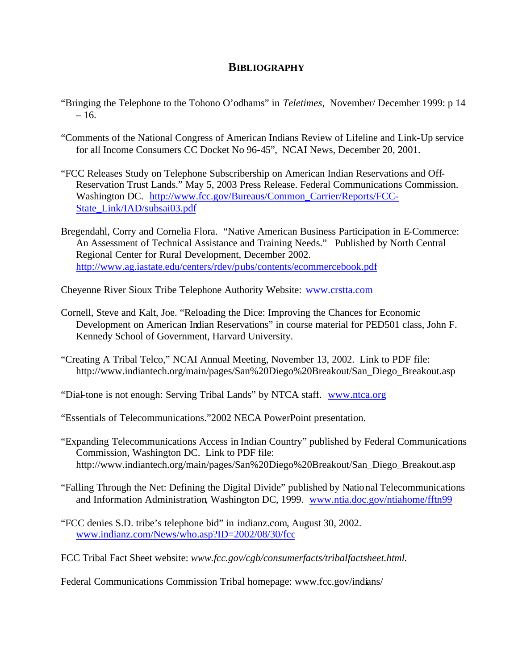### **BIBLIOGRAPHY**

- "Bringing the Telephone to the Tohono O'odhams" in *Teletimes*, November/ December 1999: p 14  $-16.$
- "Comments of the National Congress of American Indians Review of Lifeline and Link-Up service for all Income Consumers CC Docket No 96-45", NCAI News, December 20, 2001.
- "FCC Releases Study on Telephone Subscribership on American Indian Reservations and Off-Reservation Trust Lands." May 5, 2003 Press Release. Federal Communications Commission. Washington DC. http://www.fcc.gov/Bureaus/Common\_Carrier/Reports/FCC-State\_Link/IAD/subsai03.pdf
- Bregendahl, Corry and Cornelia Flora. "Native American Business Participation in E-Commerce: An Assessment of Technical Assistance and Training Needs." Published by North Central Regional Center for Rural Development, December 2002. http://www.ag.iastate.edu/centers/rdev/pubs/contents/ecommercebook.pdf

Cheyenne River Sioux Tribe Telephone Authority Website: www.crstta.com

- Cornell, Steve and Kalt, Joe. "Reloading the Dice: Improving the Chances for Economic Development on American Indian Reservations" in course material for PED501 class, John F. Kennedy School of Government, Harvard University.
- "Creating A Tribal Telco," NCAI Annual Meeting, November 13, 2002. Link to PDF file: http://www.indiantech.org/main/pages/San%20Diego%20Breakout/San\_Diego\_Breakout.asp

"Dial-tone is not enough: Serving Tribal Lands" by NTCA staff. www.ntca.org

"Essentials of Telecommunications."2002 NECA PowerPoint presentation.

- "Expanding Telecommunications Access in Indian Country" published by Federal Communications Commission, Washington DC. Link to PDF file: http://www.indiantech.org/main/pages/San%20Diego%20Breakout/San\_Diego\_Breakout.asp
- "Falling Through the Net: Defining the Digital Divide" published by National Telecommunications and Information Administration, Washington DC, 1999. www.ntia.doc.gov/ntiahome/fftn99
- "FCC denies S.D. tribe's telephone bid" in indianz.com, August 30, 2002. www.indianz.com/News/who.asp?ID=2002/08/30/fcc
- FCC Tribal Fact Sheet website: *www.fcc.gov/cgb/consumerfacts/tribalfactsheet.html.*

Federal Communications Commission Tribal homepage: www.fcc.gov/indians/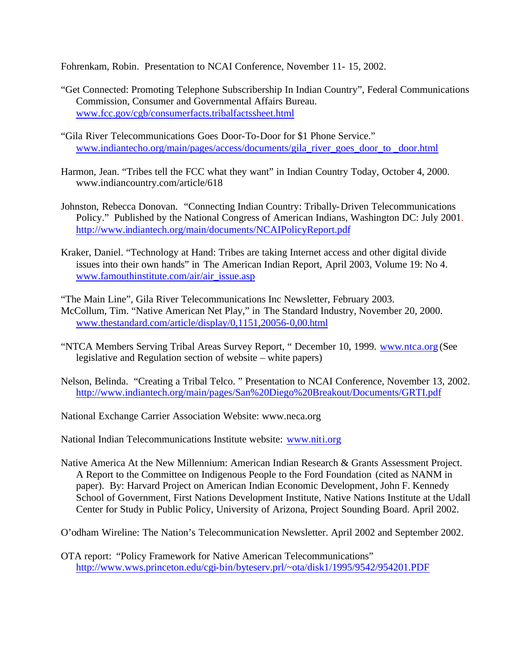Fohrenkam, Robin. Presentation to NCAI Conference, November 11- 15, 2002.

- "Get Connected: Promoting Telephone Subscribership In Indian Country", Federal Communications Commission, Consumer and Governmental Affairs Bureau. www.fcc.gov/cgb/consumerfacts.tribalfactssheet.html
- "Gila River Telecommunications Goes Door-To-Door for \$1 Phone Service." www.indiantecho.org/main/pages/access/documents/gila\_river\_goes\_door\_to \_door.html
- Harmon, Jean. "Tribes tell the FCC what they want" in Indian Country Today, October 4, 2000. www.indiancountry.com/article/618
- Johnston, Rebecca Donovan. "Connecting Indian Country: Tribally-Driven Telecommunications Policy." Published by the National Congress of American Indians, Washington DC: July 2001. http://www.indiantech.org/main/documents/NCAIPolicyReport.pdf
- Kraker, Daniel. "Technology at Hand: Tribes are taking Internet access and other digital divide issues into their own hands" in The American Indian Report, April 2003, Volume 19: No 4. www.famouthinstitute.com/air/air\_issue.asp

"The Main Line", Gila River Telecommunications Inc Newsletter, February 2003. McCollum, Tim. "Native American Net Play," in The Standard Industry, November 20, 2000. www.thestandard.com/article/display/0,1151,20056-0,00.html

- "NTCA Members Serving Tribal Areas Survey Report, " December 10, 1999. www.ntca.org (See legislative and Regulation section of website – white papers)
- Nelson, Belinda. "Creating a Tribal Telco. " Presentation to NCAI Conference, November 13, 2002. http://www.indiantech.org/main/pages/San%20Diego%20Breakout/Documents/GRTI.pdf

National Exchange Carrier Association Website: www.neca.org

National Indian Telecommunications Institute website: www.niti.org

Native America At the New Millennium: American Indian Research & Grants Assessment Project. A Report to the Committee on Indigenous People to the Ford Foundation (cited as NANM in paper). By: Harvard Project on American Indian Economic Development, John F. Kennedy School of Government, First Nations Development Institute, Native Nations Institute at the Udall Center for Study in Public Policy, University of Arizona, Project Sounding Board. April 2002.

O'odham Wireline: The Nation's Telecommunication Newsletter. April 2002 and September 2002.

OTA report: "Policy Framework for Native American Telecommunications" http://www.wws.princeton.edu/cgi-bin/byteserv.prl/~ota/disk1/1995/9542/954201.PDF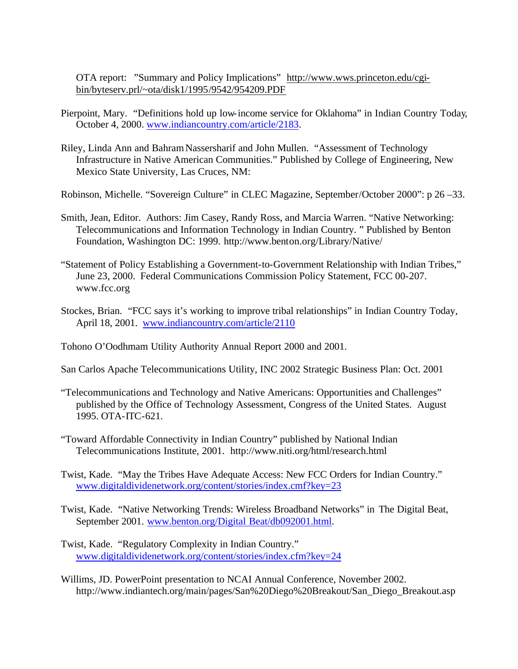OTA report: "Summary and Policy Implications" http://www.wws.princeton.edu/cgibin/byteserv.prl/~ota/disk1/1995/9542/954209.PDF

- Pierpoint, Mary. "Definitions hold up low-income service for Oklahoma" in Indian Country Today, October 4, 2000. www.indiancountry.com/article/2183.
- Riley, Linda Ann and Bahram Nassersharif and John Mullen. "Assessment of Technology Infrastructure in Native American Communities." Published by College of Engineering, New Mexico State University, Las Cruces, NM:

Robinson, Michelle. "Sovereign Culture" in CLEC Magazine, September/October 2000": p 26 –33.

- Smith, Jean, Editor. Authors: Jim Casey, Randy Ross, and Marcia Warren. "Native Networking: Telecommunications and Information Technology in Indian Country. " Published by Benton Foundation, Washington DC: 1999. http://www.benton.org/Library/Native/
- "Statement of Policy Establishing a Government-to-Government Relationship with Indian Tribes," June 23, 2000. Federal Communications Commission Policy Statement, FCC 00-207. www.fcc.org
- Stockes, Brian. "FCC says it's working to improve tribal relationships" in Indian Country Today, April 18, 2001. www.indiancountry.com/article/2110

Tohono O'Oodhmam Utility Authority Annual Report 2000 and 2001.

- San Carlos Apache Telecommunications Utility, INC 2002 Strategic Business Plan: Oct. 2001
- "Telecommunications and Technology and Native Americans: Opportunities and Challenges" published by the Office of Technology Assessment, Congress of the United States. August 1995. OTA-ITC-621.
- "Toward Affordable Connectivity in Indian Country" published by National Indian Telecommunications Institute, 2001. http://www.niti.org/html/research.html
- Twist, Kade. "May the Tribes Have Adequate Access: New FCC Orders for Indian Country." www.digitaldividenetwork.org/content/stories/index.cmf?key=23
- Twist, Kade. "Native Networking Trends: Wireless Broadband Networks" in The Digital Beat, September 2001. www.benton.org/Digital Beat/db092001.html.
- Twist, Kade. "Regulatory Complexity in Indian Country." www.digitaldividenetwork.org/content/stories/index.cfm?key=24
- Willims, JD. PowerPoint presentation to NCAI Annual Conference, November 2002. http://www.indiantech.org/main/pages/San%20Diego%20Breakout/San\_Diego\_Breakout.asp